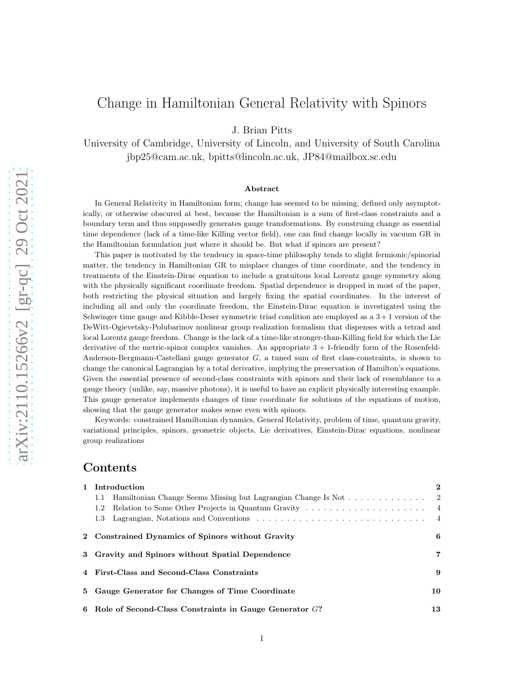# Change in Hamiltonian General Relativity with Spinors

J. Brian Pitts

University of Cambridge, University of Lincoln, and University of South Carolina jbp25@cam.ac.uk, bpitts@lincoln.ac.uk, JP84@mailbox.sc.edu

#### Abstract

In General Relativity in Hamiltonian form, change has seemed to be missing, defined only asymptotically, or otherwise obscured at best, because the Hamiltonian is a sum of first-class constraints and a boundary term and thus supposedly generates gauge transformations. By construing change as essential time dependence (lack of a time-like Killing vector field), one can find change locally in vacuum GR in the Hamiltonian formulation just where it should be. But what if spinors are present?

This paper is motivated by the tendency in space-time philosophy tends to slight fermionic/spinorial matter, the tendency in Hamiltonian GR to misplace changes of time coordinate, and the tendency in treatments of the Einstein-Dirac equation to include a gratuitous local Lorentz gauge symmetry along with the physically significant coordinate freedom. Spatial dependence is dropped in most of the paper, both restricting the physical situation and largely fixing the spatial coordinates. In the interest of including all and only the coordinate freedom, the Einstein-Dirac equation is investigated using the Schwinger time gauge and Kibble-Deser symmetric triad condition are employed as a  $3+1$  version of the DeWitt-Ogievetsky-Polubarinov nonlinear group realization formalism that dispenses with a tetrad and local Lorentz gauge freedom. Change is the lack of a time-like stronger-than-Killing field for which the Lie derivative of the metric-spinor complex vanishes. An appropriate  $3 + 1$ -friendly form of the Rosenfeld-Anderson-Bergmann-Castellani gauge generator G, a tuned sum of first class-constraints, is shown to change the canonical Lagrangian by a total derivative, implying the preservation of Hamilton's equations. Given the essential presence of second-class constraints with spinors and their lack of resemblance to a gauge theory (unlike, say, massive photons), it is useful to have an explicit physically interesting example. This gauge generator implements changes of time coordinate for solutions of the equations of motion, showing that the gauge generator makes sense even with spinors.

Keywords: constrained Hamiltonian dynamics, General Relativity, problem of time, quantum gravity, variational principles, spinors, geometric objects, Lie derivatives, Einstein-Dirac equations, nonlinear group realizations

#### Contents

|                                            | 1 Introduction                                                | $\mathbf{2}$               |
|--------------------------------------------|---------------------------------------------------------------|----------------------------|
| 1.1                                        | Hamiltonian Change Seems Missing but Lagrangian Change Is Not | $\overline{\phantom{0}}^2$ |
| 1.2                                        |                                                               |                            |
| 1.3                                        |                                                               |                            |
|                                            | 2 Constrained Dynamics of Spinors without Gravity             | 6                          |
|                                            | 3 Gravity and Spinors without Spatial Dependence              | 7                          |
| 4 First-Class and Second-Class Constraints |                                                               | 9                          |
|                                            | 5 Gauge Generator for Changes of Time Coordinate              | 10                         |
|                                            | 6 Role of Second-Class Constraints in Gauge Generator $G$ ?   | 13                         |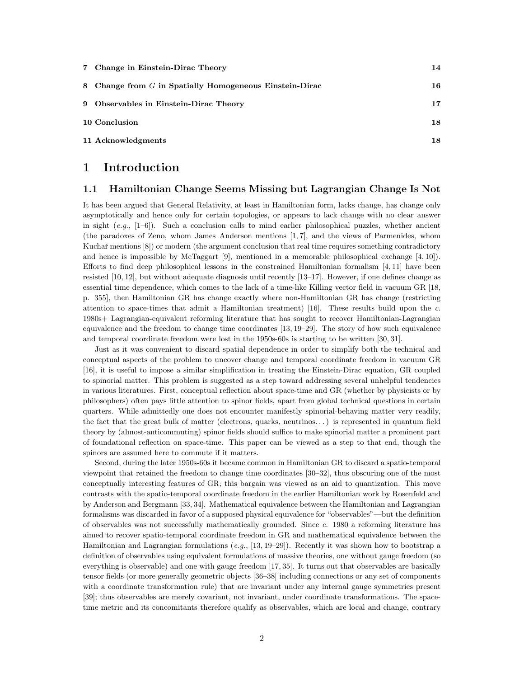| 7 Change in Einstein-Dirac Theory                       | 14 |
|---------------------------------------------------------|----|
| 8 Change from G in Spatially Homogeneous Einstein-Dirac | 16 |
| 9 Observables in Einstein-Dirac Theory                  | 17 |
| 10 Conclusion                                           | 18 |
| 11 Acknowledgments                                      | 18 |

#### 1 Introduction

#### 1.1 Hamiltonian Change Seems Missing but Lagrangian Change Is Not

It has been argued that General Relativity, at least in Hamiltonian form, lacks change, has change only asymptotically and hence only for certain topologies, or appears to lack change with no clear answer in sight (*e.g.*, [1–6]). Such a conclusion calls to mind earlier philosophical puzzles, whether ancient (the paradoxes of Zeno, whom James Anderson mentions [1, 7], and the views of Parmenides, whom Kuchař mentions [8]) or modern (the argument conclusion that real time requires something contradictory and hence is impossible by McTaggart [9], mentioned in a memorable philosophical exchange [4, 10]). Efforts to find deep philosophical lessons in the constrained Hamiltonian formalism  $[4, 11]$  have been resisted [10, 12], but without adequate diagnosis until recently [13–17]. However, if one defines change as essential time dependence, which comes to the lack of a time-like Killing vector field in vacuum GR [18, p. 355], then Hamiltonian GR has change exactly where non-Hamiltonian GR has change (restricting attention to space-times that admit a Hamiltonian treatment) [16]. These results build upon the *c.* 1980s+ Lagrangian-equivalent reforming literature that has sought to recover Hamiltonian-Lagrangian equivalence and the freedom to change time coordinates [13, 19–29]. The story of how such equivalence and temporal coordinate freedom were lost in the 1950s-60s is starting to be written [30, 31].

Just as it was convenient to discard spatial dependence in order to simplify both the technical and conceptual aspects of the problem to uncover change and temporal coordinate freedom in vacuum GR [16], it is useful to impose a similar simplification in treating the Einstein-Dirac equation, GR coupled to spinorial matter. This problem is suggested as a step toward addressing several unhelpful tendencies in various literatures. First, conceptual reflection about space-time and GR (whether by physicists or by philosophers) often pays little attention to spinor fields, apart from global technical questions in certain quarters. While admittedly one does not encounter manifestly spinorial-behaving matter very readily, the fact that the great bulk of matter (electrons, quarks, neutrinos. . . ) is represented in quantum field theory by (almost-anticommuting) spinor fields should suffice to make spinorial matter a prominent part of foundational reflection on space-time. This paper can be viewed as a step to that end, though the spinors are assumed here to commute if it matters.

Second, during the later 1950s-60s it became common in Hamiltonian GR to discard a spatio-temporal viewpoint that retained the freedom to change time coordinates [30–32], thus obscuring one of the most conceptually interesting features of GR; this bargain was viewed as an aid to quantization. This move contrasts with the spatio-temporal coordinate freedom in the earlier Hamiltonian work by Rosenfeld and by Anderson and Bergmann [33, 34]. Mathematical equivalence between the Hamiltonian and Lagrangian formalisms was discarded in favor of a supposed physical equivalence for "observables"—but the definition of observables was not successfully mathematically grounded. Since *c.* 1980 a reforming literature has aimed to recover spatio-temporal coordinate freedom in GR and mathematical equivalence between the Hamiltonian and Lagrangian formulations (*e.g.*, [13, 19–29]). Recently it was shown how to bootstrap a definition of observables using equivalent formulations of massive theories, one without gauge freedom (so everything is observable) and one with gauge freedom [17, 35]. It turns out that observables are basically tensor fields (or more generally geometric objects [36–38] including connections or any set of components with a coordinate transformation rule) that are invariant under any internal gauge symmetries present [39]; thus observables are merely covariant, not invariant, under coordinate transformations. The spacetime metric and its concomitants therefore qualify as observables, which are local and change, contrary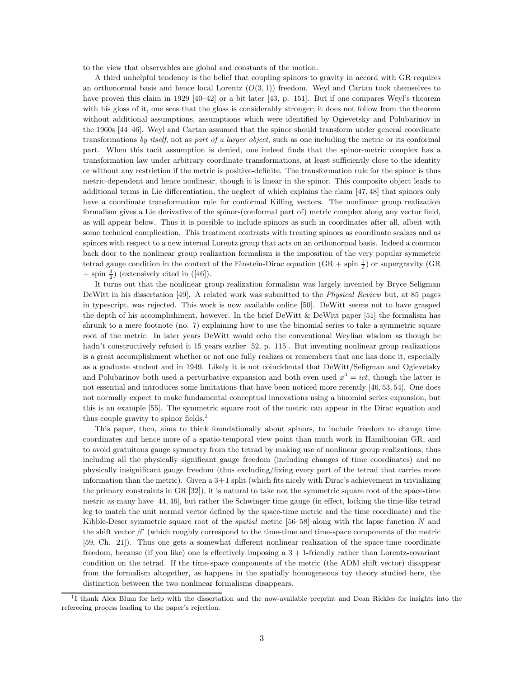to the view that observables are global and constants of the motion.

A third unhelpful tendency is the belief that coupling spinors to gravity in accord with GR requires an orthonormal basis and hence local Lorentz  $(O(3, 1))$  freedom. Weyl and Cartan took themselves to have proven this claim in 1929 [40–42] or a bit later [43, p. 151]. But if one compares Weyl's theorem with his gloss of it, one sees that the gloss is considerably stronger; it does not follow from the theorem without additional assumptions, assumptions which were identified by Ogievetsky and Polubarinov in the 1960s [44–46]. Weyl and Cartan assumed that the spinor should transform under general coordinate transformations *by itself*, not as *part of a larger object*, such as one including the metric or its conformal part. When this tacit assumption is denied, one indeed finds that the spinor-metric complex has a transformation law under arbitrary coordinate transformations, at least sufficiently close to the identity or without any restriction if the metric is positive-definite. The transformation rule for the spinor is thus metric-dependent and hence nonlinear, though it is linear in the spinor. This composite object leads to additional terms in Lie differentiation, the neglect of which explains the claim [47, 48] that spinors only have a coordinate transformation rule for conformal Killing vectors. The nonlinear group realization formalism gives a Lie derivative of the spinor-(conformal part of) metric complex along any vector field, as will appear below. Thus it is possible to include spinors as such in coordinates after all, albeit with some technical complication. This treatment contrasts with treating spinors as coordinate scalars and as spinors with respect to a new internal Lorentz group that acts on an orthonormal basis. Indeed a common back door to the nonlinear group realization formalism is the imposition of the very popular symmetric tetrad gauge condition in the context of the Einstein-Dirac equation  $(GR + spin \frac{1}{2})$  or supergravity  $(GR)$  $+$  spin  $\frac{3}{2}$ ) (extensively cited in ([46]).

It turns out that the nonlinear group realization formalism was largely invented by Bryce Seligman DeWitt in his dissertation [49]. A related work was submitted to the *Physical Review* but, at 85 pages in typescript, was rejected. This work is now available online [50]. DeWitt seems not to have grasped the depth of his accomplishment, however. In the brief DeWitt  $\&$  DeWitt paper [51] the formalism has shrunk to a mere footnote (no. 7) explaining how to use the binomial series to take a symmetric square root of the metric. In later years DeWitt would echo the conventional Weylian wisdom as though he hadn't constructively refuted it 15 years earlier [52, p. 115]. But inventing nonlinear group realizations is a great accomplishment whether or not one fully realizes or remembers that one has done it, especially as a graduate student and in 1949. Likely it is not coincidental that DeWitt/Seligman and Ogievetsky and Polubarinov both used a perturbative expansion and both even used  $x^4 = ict$ , though the latter is not essential and introduces some limitations that have been noticed more recently [46, 53, 54]. One does not normally expect to make fundamental conceptual innovations using a binomial series expansion, but this is an example [55]. The symmetric square root of the metric can appear in the Dirac equation and thus couple gravity to spinor fields.<sup>1</sup>

This paper, then, aims to think foundationally about spinors, to include freedom to change time coordinates and hence more of a spatio-temporal view point than much work in Hamiltonian GR, and to avoid gratuitous gauge symmetry from the tetrad by making use of nonlinear group realizations, thus including all the physically significant gauge freedom (including changes of time coordinates) and no physically insignificant gauge freedom (thus excluding/fixing every part of the tetrad that carries more information than the metric). Given a  $3+1$  split (which fits nicely with Dirac's achievement in trivializing the primary constraints in GR [32]), it is natural to take not the symmetric square root of the space-time metric as many have [44, 46], but rather the Schwinger time gauge (in effect, locking the time-like tetrad leg to match the unit normal vector defined by the space-time metric and the time coordinate) and the Kibble-Deser symmetric square root of the *spatial* metric [56–58] along with the lapse function N and the shift vector  $\beta^i$  (which roughly correspond to the time-time and time-space components of the metric [59, Ch. 21]). Thus one gets a somewhat different nonlinear realization of the space-time coordinate freedom, because (if you like) one is effectively imposing a  $3 + 1$ -friendly rather than Lorentz-covariant condition on the tetrad. If the time-space components of the metric (the ADM shift vector) disappear from the formalism altogether, as happens in the spatially homogeneous toy theory studied here, the distinction between the two nonlinear formalisms disappears.

<sup>&</sup>lt;sup>1</sup>I thank Alex Blum for help with the dissertation and the now-available preprint and Dean Rickles for insights into the refereeing process leading to the paper's rejection.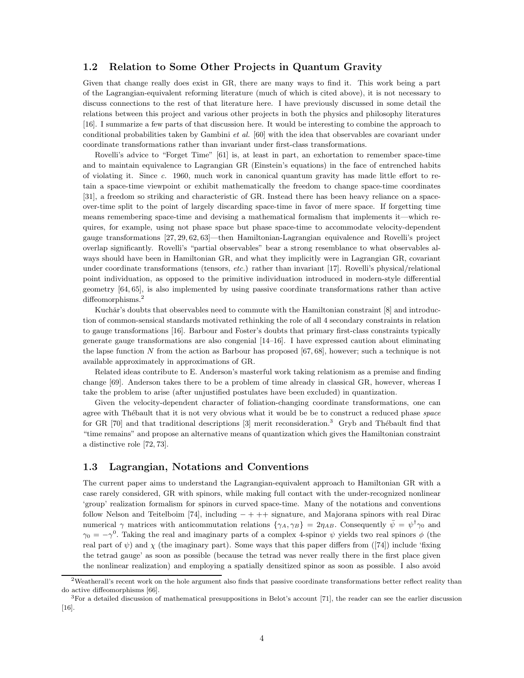#### 1.2 Relation to Some Other Projects in Quantum Gravity

Given that change really does exist in GR, there are many ways to find it. This work being a part of the Lagrangian-equivalent reforming literature (much of which is cited above), it is not necessary to discuss connections to the rest of that literature here. I have previously discussed in some detail the relations between this project and various other projects in both the physics and philosophy literatures [16]. I summarize a few parts of that discussion here. It would be interesting to combine the approach to conditional probabilities taken by Gambini *et al.* [60] with the idea that observables are covariant under coordinate transformations rather than invariant under first-class transformations.

Rovelli's advice to "Forget Time" [61] is, at least in part, an exhortation to remember space-time and to maintain equivalence to Lagrangian GR (Einstein's equations) in the face of entrenched habits of violating it. Since *c.* 1960, much work in canonical quantum gravity has made little effort to retain a space-time viewpoint or exhibit mathematically the freedom to change space-time coordinates [31], a freedom so striking and characteristic of GR. Instead there has been heavy reliance on a spaceover-time split to the point of largely discarding space-time in favor of mere space. If forgetting time means remembering space-time and devising a mathematical formalism that implements it—which requires, for example, using not phase space but phase space-time to accommodate velocity-dependent gauge transformations [27, 29, 62, 63]—then Hamiltonian-Lagrangian equivalence and Rovelli's project overlap significantly. Rovelli's "partial observables" bear a strong resemblance to what observables always should have been in Hamiltonian GR, and what they implicitly were in Lagrangian GR, covariant under coordinate transformations (tensors, *etc.*) rather than invariant [17]. Rovelli's physical/relational point individuation, as opposed to the primitive individuation introduced in modern-style differential geometry [64, 65], is also implemented by using passive coordinate transformations rather than active diffeomorphisms.<sup>2</sup>

Kuchǎr's doubts that observables need to commute with the Hamiltonian constraint [8] and introduction of common-sensical standards motivated rethinking the role of all 4 secondary constraints in relation to gauge transformations [16]. Barbour and Foster's doubts that primary first-class constraints typically generate gauge transformations are also congenial [14–16]. I have expressed caution about eliminating the lapse function N from the action as Barbour has proposed [67, 68], however; such a technique is not available approximately in approximations of GR.

Related ideas contribute to E. Anderson's masterful work taking relationism as a premise and finding change [69]. Anderson takes there to be a problem of time already in classical GR, however, whereas I take the problem to arise (after unjustified postulates have been excluded) in quantization.

Given the velocity-dependent character of foliation-changing coordinate transformations, one can agree with Thébault that it is not very obvious what it would be be to construct a reduced phase *space* for GR [70] and that traditional descriptions [3] merit reconsideration.<sup>3</sup> Gryb and Thébault find that "time remains" and propose an alternative means of quantization which gives the Hamiltonian constraint a distinctive role [72, 73].

#### 1.3 Lagrangian, Notations and Conventions

The current paper aims to understand the Lagrangian-equivalent approach to Hamiltonian GR with a case rarely considered, GR with spinors, while making full contact with the under-recognized nonlinear 'group' realization formalism for spinors in curved space-time. Many of the notations and conventions follow Nelson and Teitelboim [74], including  $-+++$  signature, and Majorana spinors with real Dirac numerical  $\gamma$  matrices with anticommutation relations  $\{\gamma_A, \gamma_B\} = 2\eta_{AB}$ . Consequently  $\bar{\psi} = \psi^{\dagger} \gamma_0$  and  $\gamma_0 = -\gamma^0$ . Taking the real and imaginary parts of a complex 4-spinor  $\psi$  yields two real spinors  $\phi$  (the real part of  $\psi$ ) and  $\chi$  (the imaginary part). Some ways that this paper differs from ([74]) include 'fixing the tetrad gauge' as soon as possible (because the tetrad was never really there in the first place given the nonlinear realization) and employing a spatially densitized spinor as soon as possible. I also avoid

<sup>2</sup>Weatherall's recent work on the hole argument also finds that passive coordinate transformations better reflect reality than do active diffeomorphisms [66].

 ${}^{3}$  For a detailed discussion of mathematical presuppositions in Belot's account [71], the reader can see the earlier discussion [16].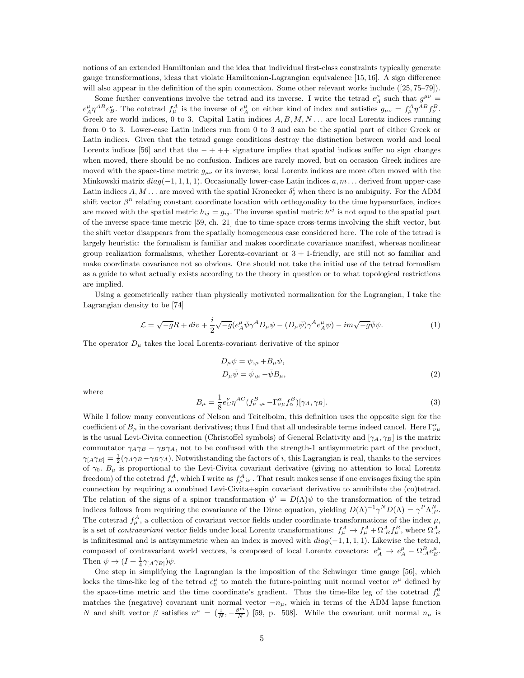notions of an extended Hamiltonian and the idea that individual first-class constraints typically generate gauge transformations, ideas that violate Hamiltonian-Lagrangian equivalence [15, 16]. A sign difference will also appear in the definition of the spin connection. Some other relevant works include ([25, 75–79]).

Some further conventions involve the tetrad and its inverse. I write the tetrad  $e^{\mu}_{A}$  such that  $g^{\mu\nu}$  =  $e^{\mu}_A \eta^{AB} e^{\nu}_B$ . The cotetrad  $f^A_{\mu}$  is the inverse of  $e^{\mu}_A$  on either kind of index and satisfies  $g_{\mu\nu} = f^A_{\mu} \eta^{AB} f^B_{\nu}$ . Greek are world indices, 0 to 3. Capital Latin indices  $A, B, M, N...$  are local Lorentz indices running from 0 to 3. Lower-case Latin indices run from 0 to 3 and can be the spatial part of either Greek or Latin indices. Given that the tetrad gauge conditions destroy the distinction between world and local Lorentz indices [56] and that the  $-+++$  signature implies that spatial indices suffer no sign changes when moved, there should be no confusion. Indices are rarely moved, but on occasion Greek indices are moved with the space-time metric  $g_{\mu\nu}$  or its inverse, local Lorentz indices are more often moved with the Minkowski matrix  $diag(-1, 1, 1, 1)$ . Occasionally lower-case Latin indices  $a, m \dots$  derived from upper-case Latin indices  $A, M \dots$  are moved with the spatial Kronecker  $\delta_j^i$  when there is no ambiguity. For the ADM shift vector  $\beta^n$  relating constant coordinate location with orthogonality to the time hypersurface, indices are moved with the spatial metric  $h_{ij} = g_{ij}$ . The inverse spatial metric  $h^{ij}$  is not equal to the spatial part of the inverse space-time metric [59, ch. 21] due to time-space cross-terms involving the shift vector, but the shift vector disappears from the spatially homogeneous case considered here. The role of the tetrad is largely heuristic: the formalism is familiar and makes coordinate covariance manifest, whereas nonlinear group realization formalisms, whether Lorentz-covariant or  $3 + 1$ -friendly, are still not so familiar and make coordinate covariance not so obvious. One should not take the initial use of the tetrad formalism as a guide to what actually exists according to the theory in question or to what topological restrictions are implied.

Using a geometrically rather than physically motivated normalization for the Lagrangian, I take the Lagrangian density to be [74]

$$
\mathcal{L} = \sqrt{-g}R + div + \frac{i}{2}\sqrt{-g}(e_A^\mu \bar{\psi}\gamma^A D_\mu \psi - (D_\mu \bar{\psi})\gamma^A e_A^\mu \psi) - im\sqrt{-g}\bar{\psi}\psi.
$$
 (1)

The operator  $D_{\mu}$  takes the local Lorentz-covariant derivative of the spinor

$$
D_{\mu}\psi = \psi_{,\mu} + B_{\mu}\psi,
$$
  
\n
$$
D_{\mu}\bar{\psi} = \bar{\psi}_{,\mu} - \bar{\psi}B_{\mu},
$$
\n(2)

where

$$
B_{\mu} = \frac{1}{8} e_C^{\nu} \eta^{AC} (f_{\nu}^{B},_{\mu} - \Gamma_{\nu\mu}^{\alpha} f_{\alpha}^{B}) [\gamma_A, \gamma_B]. \tag{3}
$$

While I follow many conventions of Nelson and Teitelboim, this definition uses the opposite sign for the coefficient of  $B_\mu$  in the covariant derivatives; thus I find that all undesirable terms indeed cancel. Here  $\Gamma_{\nu\mu}^{\alpha}$ is the usual Levi-Civita connection (Christoffel symbols) of General Relativity and  $[\gamma_A, \gamma_B]$  is the matrix commutator  $\gamma_A \gamma_B - \gamma_B \gamma_A$ , not to be confused with the strength-1 antisymmetric part of the product,  $\gamma_A \gamma_B = \frac{1}{2} (\gamma_A \gamma_B - \gamma_B \gamma_A)$ . Notwithstanding the factors of *i*, this Lagrangian is real, thanks to the services of  $\gamma_0$ .  $B_\mu$  is proportional to the Levi-Civita covariant derivative (giving no attention to local Lorentz freedom) of the cotetrad  $f^A_\mu$ , which I write as  $f^A_\mu$ ;  $\iota$ . That result makes sense if one envisages fixing the spin connection by requiring a combined Levi-Civita+spin covariant derivative to annihilate the (co)tetrad. The relation of the signs of a spinor transformation  $\psi' = D(\Lambda)\psi$  to the transformation of the tetrad indices follows from requiring the covariance of the Dirac equation, yielding  $D(\Lambda)^{-1} \gamma^N D(\Lambda) = \gamma^P \Lambda_{P}^N$ . The cotetrad  $f^A_\mu$ , a collection of covariant vector fields under coordinate transformations of the index  $\mu$ , is a set of *contravariant* vector fields under local Lorentz transformations:  $f^A_\mu \to f^A_\mu + \Omega^A_{,B} f^B_\mu$ , where  $\Omega^A_{,B}$ is infinitesimal and is antisymmetric when an index is moved with  $diag(-1, 1, 1, 1)$ . Likewise the tetrad, composed of contravariant world vectors, is composed of local Lorentz covectors:  $e^{\mu}_A \to e^{\mu}_A - \Omega^B_{A} e^{\mu}_B$ . Then  $\psi \to (I + \frac{1}{4}\gamma_{[A}\gamma_{B]})\psi$ .

One step in simplifying the Lagrangian is the imposition of the Schwinger time gauge [56], which locks the time-like leg of the tetrad  $e_0^{\mu}$  to match the future-pointing unit normal vector  $n^{\mu}$  defined by the space-time metric and the time coordinate's gradient. Thus the time-like leg of the cotetrad  $f^0_\mu$ matches the (negative) covariant unit normal vector  $-n<sub>\mu</sub>$ , which in terms of the ADM lapse function N and shift vector  $\beta$  satisfies  $n^{\mu} = (\frac{1}{N}, -\frac{\beta^{m}}{N})$  [59, p. 508]. While the covariant unit normal  $n_{\mu}$  is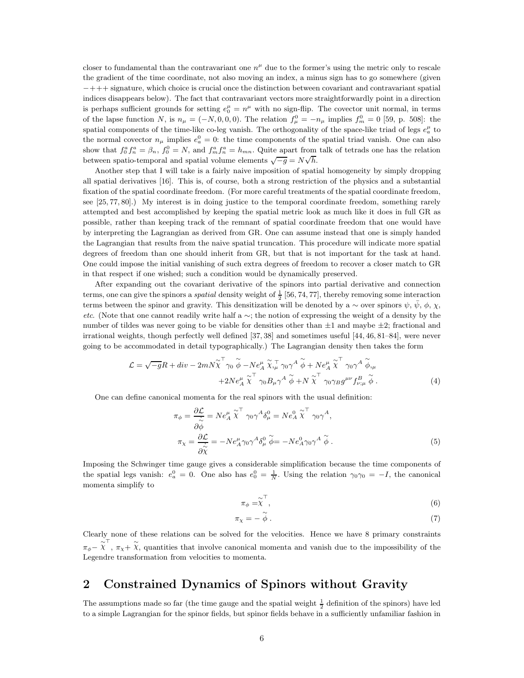closer to fundamental than the contravariant one  $n^{\mu}$  due to the former's using the metric only to rescale the gradient of the time coordinate, not also moving an index, a minus sign has to go somewhere (given −+++ signature, which choice is crucial once the distinction between covariant and contravariant spatial indices disappears below). The fact that contravariant vectors more straightforwardly point in a direction is perhaps sufficient grounds for setting  $e_0^{\mu} = n^{\mu}$  with no sign-flip. The covector unit normal, in terms of the lapse function N, is  $n_{\mu} = (-N, 0, 0, 0)$ . The relation  $f_{\mu}^{0} = -n_{\mu}$  implies  $f_{m}^{0} = 0$  [59, p. 508]: the spatial components of the time-like co-leg vanish. The orthogonality of the space-like triad of legs  $e_a^{\mu}$  to the normal covector  $n_{\mu}$  implies  $e_a^0 = 0$ : the time components of the spatial triad vanish. One can also show that  $f_0^a f_n^a = \beta_n$ ,  $f_0^0 = N$ , and  $f_m^a f_n^a = h_{mn}$ . Quite apart from talk of tetrads one has the relation between spatio-temporal and spatial volume elements  $\sqrt{-g} = N\sqrt{h}$ .

Another step that I will take is a fairly naive imposition of spatial homogeneity by simply dropping all spatial derivatives [16]. This is, of course, both a strong restriction of the physics and a substantial fixation of the spatial coordinate freedom. (For more careful treatments of the spatial coordinate freedom, see [25, 77, 80].) My interest is in doing justice to the temporal coordinate freedom, something rarely attempted and best accomplished by keeping the spatial metric look as much like it does in full GR as possible, rather than keeping track of the remnant of spatial coordinate freedom that one would have by interpreting the Lagrangian as derived from GR. One can assume instead that one is simply handed the Lagrangian that results from the naive spatial truncation. This procedure will indicate more spatial degrees of freedom than one should inherit from GR, but that is not important for the task at hand. One could impose the initial vanishing of such extra degrees of freedom to recover a closer match to GR in that respect if one wished; such a condition would be dynamically preserved.

After expanding out the covariant derivative of the spinors into partial derivative and connection terms, one can give the spinors a *spatial* density weight of  $\frac{1}{2}$  [56, 74, 77], thereby removing some interaction terms between the spinor and gravity. This densitization will be denoted by a ∼ over spinors  $\psi$ ,  $\bar{\psi}$ ,  $\phi$ ,  $\chi$ , *etc*. (Note that one cannot readily write half a ∼; the notion of expressing the weight of a density by the number of tildes was never going to be viable for densities other than  $\pm 1$  and maybe  $\pm 2$ ; fractional and irrational weights, though perfectly well defined [37, 38] and sometimes useful [44, 46, 81–84], were never going to be accommodated in detail typographically.) The Lagrangian density then takes the form

$$
\mathcal{L} = \sqrt{-g}R + div - 2m\tilde{N}\tilde{\chi}^{\top}\gamma_{0} \stackrel{\sim}{\phi} - Ne_{A}^{\mu} \tilde{\chi}_{,\mu}^{\top}\gamma_{0} \gamma^{A} \stackrel{\sim}{\phi} + Ne_{A}^{\mu} \tilde{\chi}^{\top}\gamma_{0} \gamma^{A} \stackrel{\sim}{\phi}_{,\mu} + 2Ne_{A}^{\mu} \tilde{\chi}^{\top}\gamma_{0}B_{\mu} \gamma^{A} \stackrel{\sim}{\phi} + N \tilde{\chi}^{\top}\gamma_{0} \gamma_{B} g^{\mu\nu} f_{\nu;\mu}^{B} \stackrel{\sim}{\phi}.
$$
\n(4)

One can define canonical momenta for the real spinors with the usual definition:

$$
\pi_{\phi} = \frac{\partial \mathcal{L}}{\partial \phi} = N e_A^{\mu} \tilde{\chi}^{\top} \gamma_0 \gamma^A \delta_{\mu}^0 = N e_A^0 \tilde{\chi}^{\top} \gamma_0 \gamma^A,
$$
  

$$
\pi_{\chi} = \frac{\partial \mathcal{L}}{\partial \tilde{\chi}} = -N e_A^{\mu} \gamma_0 \gamma^A \delta_{\mu}^0 \tilde{\phi} = -N e_A^0 \gamma_0 \gamma^A \tilde{\phi}.
$$
 (5)

Imposing the Schwinger time gauge gives a considerable simplification because the time components of the spatial legs vanish:  $e_a^0 = 0$ . One also has  $e_0^0 = \frac{1}{N}$ . Using the relation  $\gamma_0 \gamma_0 = -I$ , the canonical momenta simplify to

$$
\pi_{\phi} = \widetilde{\chi}^{\top}, \tag{6}
$$

$$
\pi_{\chi} = -\stackrel{\sim}{\phi} \,. \tag{7}
$$

Clearly none of these relations can be solved for the velocities. Hence we have 8 primary constraints  $\pi_{\phi} - \chi^{\top}$ ,  $\pi_{\chi} + \chi$ , quantities that involve canonical momenta and vanish due to the impossibility of the Legendre transformation from velocities to momenta.

#### 2 Constrained Dynamics of Spinors without Gravity

The assumptions made so far (the time gauge and the spatial weight  $\frac{1}{2}$  definition of the spinors) have led to a simple Lagrangian for the spinor fields, but spinor fields behave in a sufficiently unfamiliar fashion in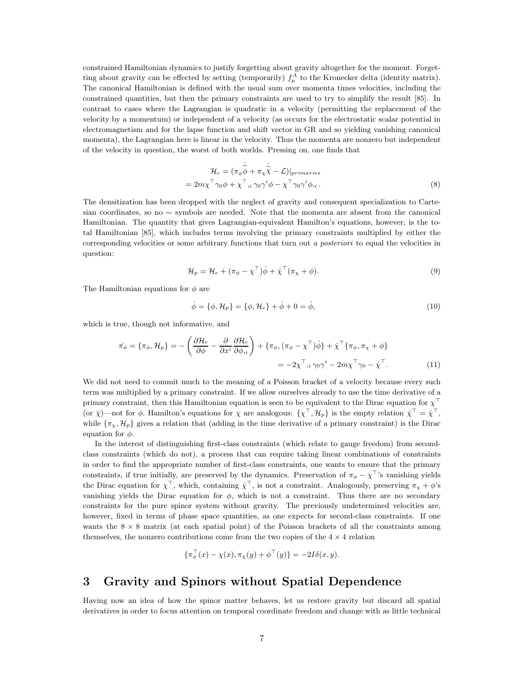constrained Hamiltonian dynamics to justify forgetting about gravity altogether for the moment. Forgetting about gravity can be effected by setting (temporarily)  $f^A_\mu$  to the Kronecker delta (identity matrix). The canonical Hamiltonian is defined with the usual sum over momenta times velocities, including the constrained quantities, but then the primary constraints are used to try to simplify the result [85]. In contrast to cases where the Lagrangian is quadratic in a velocity (permitting the replacement of the velocity by a momentum) or independent of a velocity (as occurs for the electrostatic scalar potential in electromagnetism and for the lapse function and shift vector in GR and so yielding vanishing canonical momenta), the Lagrangian here is linear in the velocity. Thus the momenta are nonzero but independent of the velocity in question, the worst of both worlds. Pressing on, one finds that

$$
\mathcal{H}_c = (\pi_\phi \dot{\phi} + \pi_\chi \dot{\tilde{\chi}} - \mathcal{L})|_{primaries}
$$
  
=  $2m\chi^\top \gamma_0 \phi + \chi^\top, i \gamma_0 \gamma^i \phi - \chi^\top \gamma_0 \gamma^i \phi, i$ . (8)

The densitization has been dropped with the neglect of gravity and consequent specialization to Cartesian coordinates, so no ∼ symbols are needed. Note that the momenta are absent from the canonical Hamiltonian. The quantity that gives Lagrangian-equivalent Hamilton's equations, however, is the total Hamiltonian [85], which includes terms involving the primary constraints multiplied by either the corresponding velocities or some arbitrary functions that turn out *a posteriori* to equal the velocities in question:

$$
\mathcal{H}_p = \mathcal{H}_c + (\pi_\phi - \chi^\top)\dot{\phi} + \dot{\chi}^\top(\pi_\chi + \phi). \tag{9}
$$

The Hamiltonian equations for  $\phi$  are

$$
\dot{\phi} = \{\phi, \mathcal{H}_p\} = \{\phi, \mathcal{H}_c\} + \dot{\phi} + 0 = \dot{\phi},\tag{10}
$$

which is true, though not informative, and

$$
\dot{\pi}_{\phi} = \{\pi_{\phi}, \mathcal{H}_{p}\} = -\left(\frac{\partial \mathcal{H}_{c}}{\partial \phi} - \frac{\partial}{\partial x^{i}} \frac{\partial \mathcal{H}_{c}}{\partial \phi_{,i}}\right) + \{\pi_{\phi}, (\pi_{\phi} - \chi^{\top})\dot{\phi}\} + \dot{\chi}^{\top}\{\pi_{\phi}, \pi_{\chi} + \phi\}
$$
\n
$$
= -2\chi^{\top}, i \gamma_{0} \gamma^{i} - 2m\chi^{\top}\gamma_{0} - \dot{\chi}^{\top}.
$$
\n(11)

We did not need to commit much to the meaning of a Poisson bracket of a velocity because every such term was multiplied by a primary constraint. If we allow ourselves already to use the time derivative of a primary constraint, then this Hamiltonian equation is seen to be equivalent to the Dirac equation for  $\chi^{\top}$ (or  $\bar{\chi}$ )—not for  $\phi$ . Hamilton's equations for  $\chi$  are analogous:  $\{\chi^{\top}, \mathcal{H}_p\}$  is the empty relation  $\dot{\chi}^{\top} = \dot{\chi}^{\top}$ , while  $\{\pi_\chi, \mathcal{H}_p\}$  gives a relation that (adding in the time derivative of a primary constraint) is the Dirac equation for  $\phi$ .

In the interest of distinguishing first-class constraints (which relate to gauge freedom) from secondclass constraints (which do not), a process that can require taking linear combinations of constraints in order to find the appropriate number of first-class constraints, one wants to ensure that the primary constraints, if true initially, are preserved by the dynamics. Preservation of  $\pi_{\phi} - \chi^{\top}$ 's vanishing yields the Dirac equation for  $\chi^{\top}$ , which, containing  $\chi^{\top}$ , is not a constraint. Analogously, preserving  $\pi_{\chi} + \phi$ 's vanishing yields the Dirac equation for  $\phi$ , which is not a constraint. Thus there are no secondary constraints for the pure spinor system without gravity. The previously undetermined velocities are, however, fixed in terms of phase space quantities, as one expects for second-class constraints. If one wants the  $8 \times 8$  matrix (at each spatial point) of the Poisson brackets of all the constraints among themselves, the nonzero contributions come from the two copies of the  $4 \times 4$  relation

$$
\{\pi_{\phi}^{\top}(x) - \chi(x), \pi_{\chi}(y) + \phi^{\top}(y)\} = -2I\delta(x, y).
$$

# 3 Gravity and Spinors without Spatial Dependence

Having now an idea of how the spinor matter behaves, let us restore gravity but discard all spatial derivatives in order to focus attention on temporal coordinate freedom and change with as little technical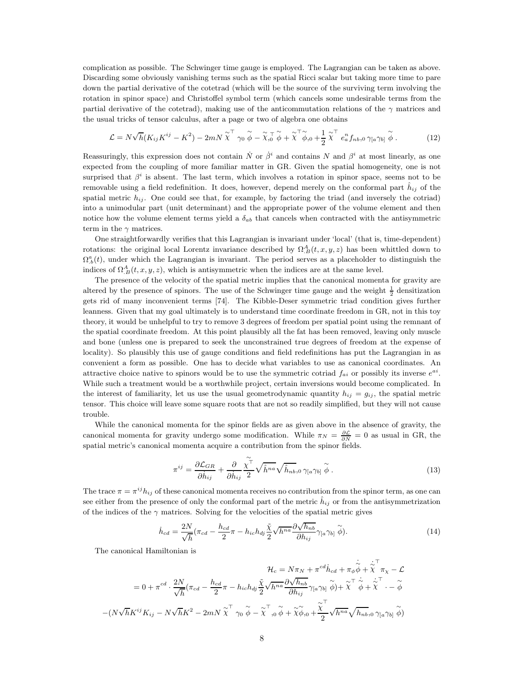complication as possible. The Schwinger time gauge is employed. The Lagrangian can be taken as above. Discarding some obviously vanishing terms such as the spatial Ricci scalar but taking more time to pare down the partial derivative of the cotetrad (which will be the source of the surviving term involving the rotation in spinor space) and Christoffel symbol term (which cancels some undesirable terms from the partial derivative of the cotetrad), making use of the anticommutation relations of the  $\gamma$  matrices and the usual tricks of tensor calculus, after a page or two of algebra one obtains

$$
\mathcal{L} = N\sqrt{h}(K_{ij}K^{ij} - K^2) - 2mN\tilde{\chi}^{\top} \gamma_0 \tilde{\phi} - \tilde{\chi}_{,0}^{\top} \tilde{\phi} + \tilde{\chi}^{\top} \tilde{\phi}_{,0} + \frac{1}{2} \tilde{\chi}^{\top} e_a^{\top} f_{nb,0} \gamma_{[a} \gamma_{b]} \tilde{\phi}.
$$
 (12)

Reassuringly, this expression does not contain  $\dot{N}$  or  $\dot{\beta}^i$  and contains N and  $\beta^i$  at most linearly, as one expected from the coupling of more familiar matter in GR. Given the spatial homogeneity, one is not surprised that  $\beta^i$  is absent. The last term, which involves a rotation in spinor space, seems not to be removable using a field redefinition. It does, however, depend merely on the conformal part  $\hat{h}_{ij}$  of the spatial metric  $h_{ij}$ . One could see that, for example, by factoring the triad (and inversely the cotriad) into a unimodular part (unit determinant) and the appropriate power of the volume element and then notice how the volume element terms yield a  $\delta_{ab}$  that cancels when contracted with the antisymmetric term in the  $\gamma$  matrices.

One straightforwardly verifies that this Lagrangian is invariant under 'local' (that is, time-dependent) rotations: the original local Lorentz invariance described by  $\Omega_B^A(t, x, y, z)$  has been whittled down to  $\Omega_{b}^{a}(t)$ , under which the Lagrangian is invariant. The period serves as a placeholder to distinguish the indices of  $\Omega_B^A(t, x, y, z)$ , which is antisymmetric when the indices are at the same level.

The presence of the velocity of the spatial metric implies that the canonical momenta for gravity are altered by the presence of spinors. The use of the Schwinger time gauge and the weight  $\frac{1}{2}$  densitization gets rid of many inconvenient terms [74]. The Kibble-Deser symmetric triad condition gives further leanness. Given that my goal ultimately is to understand time coordinate freedom in GR, not in this toy theory, it would be unhelpful to try to remove 3 degrees of freedom per spatial point using the remnant of the spatial coordinate freedom. At this point plausibly all the fat has been removed, leaving only muscle and bone (unless one is prepared to seek the unconstrained true degrees of freedom at the expense of locality). So plausibly this use of gauge conditions and field redefinitions has put the Lagrangian in as convenient a form as possible. One has to decide what variables to use as canonical coordinates. An attractive choice native to spinors would be to use the symmetric cotriad  $f_{ai}$  or possibly its inverse  $e^{ai}$ . While such a treatment would be a worthwhile project, certain inversions would become complicated. In the interest of familiarity, let us use the usual geometrodynamic quantity  $h_{ij} = g_{ij}$ , the spatial metric tensor. This choice will leave some square roots that are not so readily simplified, but they will not cause trouble.

While the canonical momenta for the spinor fields are as given above in the absence of gravity, the canonical momenta for gravity undergo some modification. While  $\pi_N = \frac{\partial \mathcal{L}}{\partial N} = 0$  as usual in GR, the spatial metric's canonical momenta acquire a contribution from the spinor fields.

$$
\pi^{ij} = \frac{\partial \mathcal{L}_{GR}}{\partial \dot{h}_{ij}} + \frac{\partial}{\partial \dot{h}_{ij}} \frac{\tilde{\chi}^{\top}}{2} \sqrt{\hat{h}^{na}} \sqrt{\hat{h}_{nb}}, \, \gamma_{[a} \gamma_{b]} \stackrel{\sim}{\phi} . \tag{13}
$$

The trace  $\pi = \pi^{ij} h_{ij}$  of these canonical momenta receives no contribution from the spinor term, as one can see either from the presence of only the conformal part of the metric  $\dot{h}_{ij}$  or from the antisymmetrization of the indices of the  $\gamma$  matrices. Solving for the velocities of the spatial metric gives

$$
\dot{h}_{cd} = \frac{2N}{\sqrt{h}} (\pi_{cd} - \frac{h_{cd}}{2}\pi - h_{ic}h_{dj}\frac{\tilde{\chi}}{2}\sqrt{h^{na}}\frac{\partial\sqrt{h_{nb}}}{\partial h_{ij}}\gamma_{[a}\gamma_{b]}\tilde{\phi}).
$$
\n(14)

∼˙

The canonical Hamiltonian is

$$
\mathcal{H}_{c} = N\pi_{N} + \pi^{cd}\dot{h}_{cd} + \pi_{\phi}\dot{\phi} + \dot{\chi}^{\top}\pi_{\chi} - \mathcal{L}
$$
  
\n
$$
= 0 + \pi^{cd} \cdot \frac{2N}{\sqrt{h}}(\pi_{cd} - \frac{h_{cd}}{2}\pi - h_{ic}h_{dj}\frac{\tilde{\chi}}{2}\sqrt{h^{na}}\frac{\partial\sqrt{h_{nb}}}{\partial h_{ij}}\gamma_{[a}\gamma_{b]}\stackrel{\sim}{\phi}) + \dot{\chi}^{\top}\dot{\phi} + \dot{\chi}^{\top}\cdot - \tilde{\phi}
$$
  
\n
$$
-(N\sqrt{h}K^{ij}K_{ij} - N\sqrt{h}K^{2} - 2mN\tilde{\chi}^{\top}\gamma_{0}\stackrel{\sim}{\phi} - \tilde{\chi}^{\top},_{0}\tilde{\phi} + \tilde{\chi}\tilde{\phi}_{0} + \frac{\tilde{\chi}^{\top}}{2}\sqrt{h^{na}}\sqrt{h_{nb}}\gamma_{[a}\gamma_{b]}\stackrel{\sim}{\phi})
$$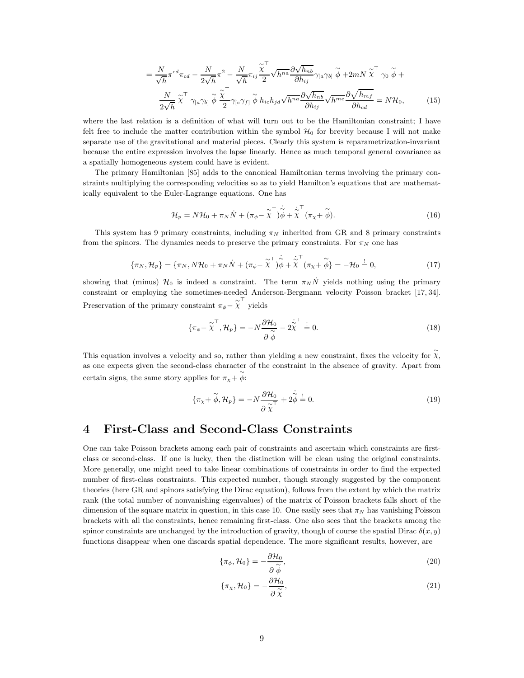$$
= \frac{N}{\sqrt{h}} \pi^{cd} \pi_{cd} - \frac{N}{2\sqrt{h}} \pi^{2} - \frac{N}{\sqrt{h}} \pi_{ij} \frac{\chi^{+}}{2} \sqrt{h^{na}} \frac{\partial \sqrt{h_{nb}}}{\partial h_{ij}} \gamma_{[a} \gamma_{b]} \tilde{\phi} + 2mN \tilde{\chi}^{+} \gamma_{0} \tilde{\phi} +
$$

$$
\frac{N}{2\sqrt{h}} \tilde{\chi}^{+} \gamma_{[a} \gamma_{b]} \tilde{\phi} \frac{\chi^{+}}{2} \gamma_{[e} \gamma_{f]} \tilde{\phi} h_{ic} h_{jd} \sqrt{h^{na}} \frac{\partial \sqrt{h_{nb}}}{\partial h_{ij}} \sqrt{h^{me}} \frac{\partial \sqrt{h_{mf}}}{\partial h_{cd}} = N \mathcal{H}_{0}, \qquad (15)
$$

where the last relation is a definition of what will turn out to be the Hamiltonian constraint; I have felt free to include the matter contribution within the symbol  $\mathcal{H}_0$  for brevity because I will not make separate use of the gravitational and material pieces. Clearly this system is reparametrization-invariant because the entire expression involves the lapse linearly. Hence as much temporal general covariance as a spatially homogeneous system could have is evident.

The primary Hamiltonian [85] adds to the canonical Hamiltonian terms involving the primary constraints multiplying the corresponding velocities so as to yield Hamilton's equations that are mathematically equivalent to the Euler-Lagrange equations. One has

$$
\mathcal{H}_p = N\mathcal{H}_0 + \pi_N \dot{N} + (\pi_\phi - \tilde{\chi}^\top) \dot{\tilde{\phi}} + \tilde{\chi}^\top (\pi_\chi + \tilde{\phi}). \tag{16}
$$

This system has 9 primary constraints, including  $\pi_N$  inherited from GR and 8 primary constraints from the spinors. The dynamics needs to preserve the primary constraints. For  $\pi_N$  one has

$$
\{\pi_N, \mathcal{H}_p\} = \{\pi_N, N\mathcal{H}_0 + \pi_N \dot{N} + (\pi_\phi - \tilde{\chi}^\top) \dot{\tilde{\phi}} + \tilde{\chi}^\top (\pi_\chi + \tilde{\phi}) = -\mathcal{H}_0 \stackrel{!}{=} 0,\tag{17}
$$

showing that (minus)  $\mathcal{H}_0$  is indeed a constraint. The term  $\pi_N N$  yields nothing using the primary constraint or employing the sometimes-needed Anderson-Bergmann velocity Poisson bracket [17, 34]. Preservation of the primary constraint  $\pi_{\phi} - \widetilde{\chi}^{\top}$  yields

$$
\{\pi_{\phi} - \tilde{\chi}^{\top}, \mathcal{H}_p\} = -N \frac{\partial \mathcal{H}_0}{\partial \tilde{\phi}} - 2 \dot{\tilde{\chi}}^{\top} = 0.
$$
\n(18)

This equation involves a velocity and so, rather than yielding a new constraint, fixes the velocity for  $\tilde{\chi}$ , as one expects given the second-class character of the constraint in the absence of gravity. Apart from certain signs, the same story applies for  $\pi_{\chi} + \tilde{\phi}$ :

$$
\{\pi_{\chi} + \widetilde{\phi}, \mathcal{H}_p\} = -N \frac{\partial \mathcal{H}_0}{\partial \widetilde{\chi}} + 2\dot{\widetilde{\phi}} = 0.
$$
\n(19)

### 4 First-Class and Second-Class Constraints

One can take Poisson brackets among each pair of constraints and ascertain which constraints are firstclass or second-class. If one is lucky, then the distinction will be clean using the original constraints. More generally, one might need to take linear combinations of constraints in order to find the expected number of first-class constraints. This expected number, though strongly suggested by the component theories (here GR and spinors satisfying the Dirac equation), follows from the extent by which the matrix rank (the total number of nonvanishing eigenvalues) of the matrix of Poisson brackets falls short of the dimension of the square matrix in question, in this case 10. One easily sees that  $\pi_N$  has vanishing Poisson brackets with all the constraints, hence remaining first-class. One also sees that the brackets among the spinor constraints are unchanged by the introduction of gravity, though of course the spatial Dirac  $\delta(x, y)$ functions disappear when one discards spatial dependence. The more significant results, however, are

$$
\{\pi_{\phi}, \mathcal{H}_0\} = -\frac{\partial \mathcal{H}_0}{\partial \tilde{\phi}},\tag{20}
$$

$$
\{\pi_{\chi}, \mathcal{H}_0\} = -\frac{\partial \mathcal{H}_0}{\partial \tilde{\chi}},\tag{21}
$$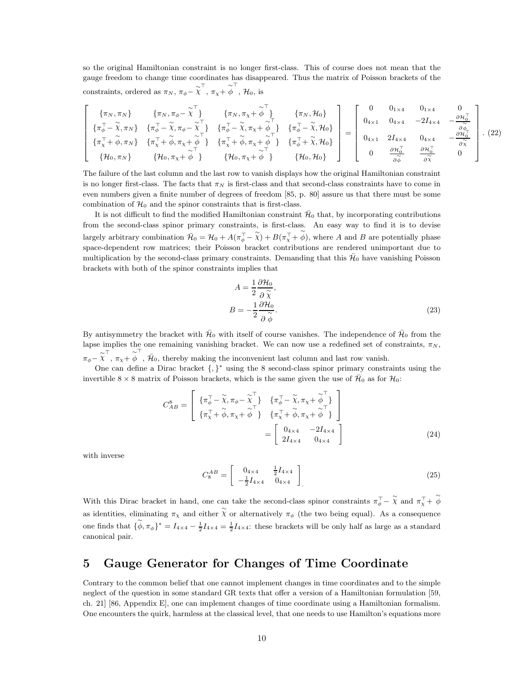so the original Hamiltonian constraint is no longer first-class. This of course does not mean that the gauge freedom to change time coordinates has disappeared. Thus the matrix of Poisson brackets of the constraints, ordered as  $\pi_N$ ,  $\pi_{\phi} - \tilde{\chi}^{\top}$ ,  $\pi_{\chi} + \phi^{\top}$ ,  $\mathcal{H}_0$ , is

$$
\begin{bmatrix}\n\{\pi_N, \pi_N\} & \{\pi_N, \pi_\phi - \tilde{\chi}^\top\} & \{\pi_N, \pi_\chi + \tilde{\phi}^\top\} & \{\pi_N, \mathcal{H}_0\} \\
\{\pi_\phi^\top - \tilde{\chi}, \pi_N\} & \{\pi_\phi^\top - \tilde{\chi}, \pi_\phi - \tilde{\chi}^\top\} & \{\pi_\phi^\top - \tilde{\chi}, \pi_\chi + \tilde{\phi}^\top\} & \{\pi_\phi^\top - \tilde{\chi}, \mathcal{H}_0\} \\
\{\pi_\chi^\top + \tilde{\phi}, \pi_N\} & \{\pi_\chi^\top + \tilde{\phi}, \pi_\chi + \tilde{\phi}^\top\} & \{\pi_\chi^\top + \tilde{\phi}, \pi_\chi + \tilde{\phi}^\top\} & \{\pi_\phi^\top + \tilde{\chi}, \mathcal{H}_0\}\n\end{bmatrix} = \begin{bmatrix}\n0 & 0_{1 \times 4} & 0_{1 \times 4} & 0 \\
0_{4 \times 1} & 0_{4 \times 4} & -2I_{4 \times 4} & -\frac{\partial \mathcal{H}_0^\top}{\partial \tilde{\phi}} \\
0_{4 \times 1} & 2I_{4 \times 4} & 0_{4 \times 4} & -\frac{\partial \mathcal{H}_0^\top}{\partial \tilde{\phi}} \\
0_{4 \times 1} & 2I_{4 \times 4} & 0_{4 \times 4} & -\frac{\partial \mathcal{H}_0^\top}{\partial \tilde{\chi}}\n\end{bmatrix}.
$$
\n(22)

The failure of the last column and the last row to vanish displays how the original Hamiltonian constraint is no longer first-class. The facts that  $\pi_N$  is first-class and that second-class constraints have to come in even numbers given a finite number of degrees of freedom [85, p. 80] assure us that there must be some combination of  $\mathcal{H}_0$  and the spinor constraints that is first-class.

It is not difficult to find the modified Hamiltonian constraint  $\bar{\mathcal{H}}_0$  that, by incorporating contributions from the second-class spinor primary constraints, is first-class. An easy way to find it is to devise largely arbitrary combination  $\tilde{\mathcal{H}}_0 = \mathcal{H}_0 + A(\pi_\phi^\top - \tilde{\chi}) + B(\pi_\chi^\top + \tilde{\phi})$ , where A and B are potentially phase space-dependent row matrices; their Poisson bracket contributions are rendered unimportant due to multiplication by the second-class primary constraints. Demanding that this  $\bar{\mathcal{H}}_0$  have vanishing Poisson brackets with both of the spinor constraints implies that

$$
A = \frac{1}{2} \frac{\partial \mathcal{H}_0}{\partial \tilde{\chi}},
$$
  

$$
B = -\frac{1}{2} \frac{\partial \mathcal{H}_0}{\partial \tilde{\phi}}.
$$
 (23)

By antisymmetry the bracket with  $\bar{\mathcal{H}}_0$  with itself of course vanishes. The independence of  $\bar{\mathcal{H}}_0$  from the lapse implies the one remaining vanishing bracket. We can now use a redefined set of constraints,  $\pi_N$ ,  $\pi_{\phi} - \widetilde{\chi}^{\top}$ ,  $\pi_{\chi} + \widetilde{\phi}^{\top}$ ,  $\bar{\mathcal{H}}_0$ , thereby making the inconvenient last column and last row vanish.

One can define a Dirac bracket {, } <sup>∗</sup> using the 8 second-class spinor primary constraints using the invertible 8 × 8 matrix of Poisson brackets, which is the same given the use of  $\bar{\mathcal{H}}_0$  as for  $\mathcal{H}_0$ :

$$
C_{AB}^{8} = \begin{bmatrix} \{\pi_{\phi}^{\top} - \widetilde{\chi}, \pi_{\phi} - \widetilde{\chi}_{\phi}^{\top}\} & \{\pi_{\phi}^{\top} - \widetilde{\chi}, \pi_{\chi} + \widetilde{\phi}_{\phi}^{\top}\} \\ \{\pi_{\chi}^{\top} + \widetilde{\phi}, \pi_{\chi} + \widetilde{\phi}_{\phi}^{\top}\} & \{\pi_{\chi}^{\top} + \widetilde{\phi}, \pi_{\chi} + \widetilde{\phi}_{\phi}^{\top}\} \\ \end{bmatrix} = \begin{bmatrix} 0_{4 \times 4} & -2I_{4 \times 4} \\ 2I_{4 \times 4} & 0_{4 \times 4} \end{bmatrix}
$$
(24)

with inverse

$$
C_8^{AB} = \begin{bmatrix} 0_{4 \times 4} & \frac{1}{2} I_{4 \times 4} \\ -\frac{1}{2} I_{4 \times 4} & 0_{4 \times 4} \end{bmatrix} \tag{25}
$$

With this Dirac bracket in hand, one can take the second-class spinor constraints  $\pi_{\phi}^{\top} - \tilde{\chi}$  and  $\pi_{\chi}^{\top} + \tilde{\phi}$ as identities, eliminating  $\pi_{\chi}$  and either  $\chi$  or alternatively  $\pi_{\phi}$  (the two being equal). As a consequence one finds that  $\{\phi, \pi_{\phi}\}^* = I_{4\times4} - \frac{1}{2}I_{4\times4} = \frac{1}{2}I_{4\times4}$ : these brackets will be only half as large as a standard canonical pair.

### 5 Gauge Generator for Changes of Time Coordinate

Contrary to the common belief that one cannot implement changes in time coordinates and to the simple neglect of the question in some standard GR texts that offer a version of a Hamiltonian formulation [59, ch. 21] [86, Appendix E], one can implement changes of time coordinate using a Hamiltonian formalism. One encounters the quirk, harmless at the classical level, that one needs to use Hamilton's equations more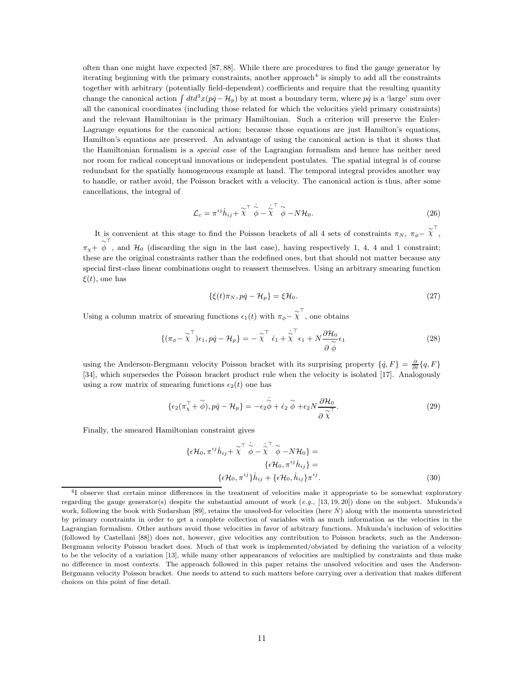often than one might have expected [87, 88]. While there are procedures to find the gauge generator by iterating beginning with the primary constraints, another approach<sup>4</sup> is simply to add all the constraints together with arbitrary (potentially field-dependent) coefficients and require that the resulting quantity change the canonical action  $\int dt d^3x(p\dot{q} - \mathcal{H}_p)$  by at most a boundary term, where  $p\dot{q}$  is a 'large' sum over all the canonical coordinates (including those related for which the velocities yield primary constraints) and the relevant Hamiltonian is the primary Hamiltonian. Such a criterion will preserve the Euler-Lagrange equations for the canonical action; because those equations are just Hamilton's equations, Hamilton's equations are preserved. An advantage of using the canonical action is that it shows that the Hamiltonian formalism is a *special case* of the Lagrangian formalism and hence has neither need nor room for radical conceptual innovations or independent postulates. The spatial integral is of course redundant for the spatially homogeneous example at hand. The temporal integral provides another way to handle, or rather avoid, the Poisson bracket with a velocity. The canonical action is thus, after some cancellations, the integral of

$$
\mathcal{L}_c = \pi^{ij} \dot{h}_{ij} + \tilde{\chi}^\top \dot{\tilde{\phi}} - \dot{\tilde{\chi}}^\top \tilde{\phi} - N \mathcal{H}_0.
$$
\n(26)

It is convenient at this stage to find the Poisson brackets of all 4 sets of constraints  $\pi_N$ ,  $\pi_{\phi}$  –  $\tilde{\chi}^{\top}$ ,  $\pi_{\chi}$  +  $\phi$ , and  $\mathcal{H}_0$  (discarding the sign in the last case), having respectively 1, 4, 4 and 1 constraint; these are the original constraints rather than the redefined ones, but that should not matter because any special first-class linear combinations ought to reassert themselves. Using an arbitrary smearing function  $\xi(t)$ , one has

$$
\{\xi(t)\pi_N, p\dot{q} - \mathcal{H}_p\} = \xi \mathcal{H}_0. \tag{27}
$$

Using a column matrix of smearing functions  $\epsilon_1(t)$  with  $\pi_{\phi} - \widetilde{\chi}^{\top}$ , one obtains

$$
\{(\pi_{\phi} - \tilde{\chi}^{\top})\epsilon_1, p\dot{q} - \mathcal{H}_p\} = -\tilde{\chi}^{\top} \dot{\epsilon}_1 + \tilde{\chi}^{\top} \epsilon_1 + N \frac{\partial \mathcal{H}_0}{\partial \tilde{\phi}} \epsilon_1
$$
\n(28)

using the Anderson-Bergmann velocity Poisson bracket with its surprising property  $\{\dot{q}, F\} = \frac{\partial}{\partial t} \{q, F\}$ [34], which supersedes the Poisson bracket product rule when the velocity is isolated [17]. Analogously using a row matrix of smearing functions  $\epsilon_2(t)$  one has

$$
\{\epsilon_2(\pi_\chi^\top + \stackrel{\sim}{\phi}), p\dot{q} - \mathcal{H}_p\} = -\epsilon_2 \stackrel{\sim}{\phi} + \dot{\epsilon}_2 \stackrel{\sim}{\phi} + \epsilon_2 N \frac{\partial \mathcal{H}_0}{\partial \stackrel{\sim}{\chi}^T}.
$$
\n(29)

Finally, the smeared Hamiltonian constraint gives

$$
\{\epsilon \mathcal{H}_0, \pi^{ij} \dot{h}_{ij} + \tilde{\chi}^\top \dot{\tilde{\phi}} - \tilde{\chi}^\top \tilde{\phi} - N \mathcal{H}_0\} = \{\epsilon \mathcal{H}_0, \pi^{ij} \dot{h}_{ij}\} = \{\epsilon \mathcal{H}_0, \pi^{ij}\} \dot{h}_{ij} + \{\epsilon \mathcal{H}_0, \dot{h}_{ij}\} \pi^{ij}.
$$
\n(30)

<sup>&</sup>lt;sup>4</sup>I observe that certain minor differences in the treatment of velocities make it appropriate to be somewhat exploratory regarding the gauge generator(s) despite the substantial amount of work  $(e.g., [13, 19, 20])$  done on the subject. Mukunda's work, following the book with Sudarshan [89], retains the unsolved-for velocities (here  $N$ ) along with the momenta unrestricted by primary constraints in order to get a complete collection of variables with as much information as the velocities in the Lagrangian formalism. Other authors avoid those velocities in favor of arbitrary functions. Mukunda's inclusion of velocities (followed by Castellani [88]) does not, however, give velocities any contribution to Poisson brackets, such as the Anderson-Bergmann velocity Poisson bracket does. Much of that work is implemented/obviated by defining the variation of a velocity to be the velocity of a variation [13], while many other appearances of velocities are multiplied by constraints and thus make no difference in most contexts. The approach followed in this paper retains the unsolved velocities and uses the Anderson-Bergmann velocity Poisson bracket. One needs to attend to such matters before carrying over a derivation that makes different choices on this point of fine detail.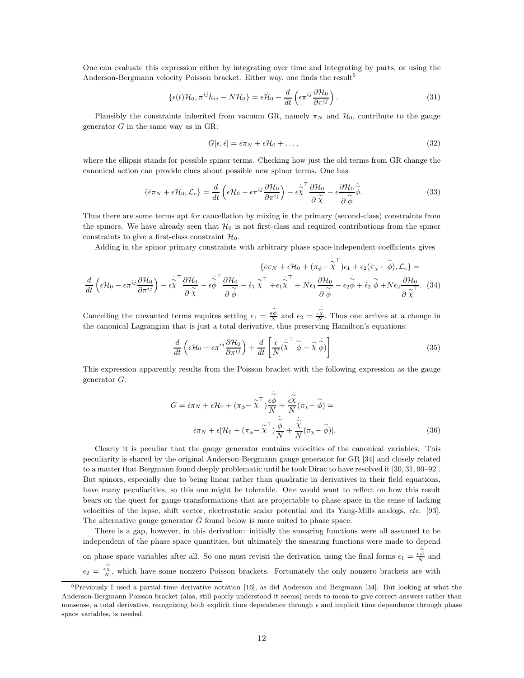One can evaluate this expression either by integrating over time and integrating by parts, or using the Anderson-Bergmann velocity Poisson bracket. Either way, one finds the result<sup>5</sup>

$$
\{\epsilon(t)\mathcal{H}_0, \pi^{ij}\dot{h}_{ij} - N\mathcal{H}_0\} = \epsilon \dot{\mathcal{H}}_0 - \frac{d}{dt}\left(\epsilon \pi^{ij}\frac{\partial \mathcal{H}_0}{\partial \pi^{ij}}\right).
$$
\n(31)

Plausibly the constraints inherited from vacuum GR, namely  $\pi_N$  and  $\mathcal{H}_0$ , contribute to the gauge generator  $G$  in the same way as in GR:

$$
G[\epsilon, \dot{\epsilon}] = \dot{\epsilon}\pi_N + \epsilon \mathcal{H}_0 + \dots,\tag{32}
$$

where the ellipsis stands for possible spinor terms. Checking how just the old terms from GR change the canonical action can provide clues about possible new spinor terms. One has

$$
\{\dot{\epsilon}\pi_N + \epsilon \mathcal{H}_0, \mathcal{L}_c\} = \frac{d}{dt} \left(\epsilon \mathcal{H}_0 - \epsilon \pi^{ij} \frac{\partial \mathcal{H}_0}{\partial \pi^{ij}}\right) - \epsilon \tilde{\chi}^{\top} \frac{\partial \mathcal{H}_0}{\partial \tilde{\chi}} - \epsilon \frac{\partial \mathcal{H}_0}{\partial \tilde{\phi}} \dot{\tilde{\phi}}.
$$
(33)

Thus there are some terms apt for cancellation by mixing in the primary (second-class) constraints from the spinors. We have already seen that  $\mathcal{H}_0$  is not first-class and required contributions from the spinor constraints to give a first-class constraint  $\bar{\mathcal{H}}_0$ .

Adding in the spinor primary constraints with arbitrary phase space-independent coefficients gives

$$
\{\dot{\epsilon}\pi_N + \epsilon \mathcal{H}_0 + (\pi_{\phi} - \tilde{\chi}^{\top})\epsilon_1 + \epsilon_2(\pi_{\chi} + \tilde{\phi}), \mathcal{L}_c\} = \frac{d}{dt}\left(\epsilon \mathcal{H}_0 - \epsilon \pi^{ij}\frac{\partial \mathcal{H}_0}{\partial \pi^{ij}}\right) - \epsilon \tilde{\chi}^{\top} \frac{\partial \mathcal{H}_0}{\partial \tilde{\chi}} - \epsilon \tilde{\phi}^{\top} \frac{\partial \mathcal{H}_0}{\partial \tilde{\phi}} - \epsilon_1 \tilde{\chi}^{\top} + \epsilon_1 \tilde{\chi}^{\top} + N\epsilon_1 \frac{\partial \mathcal{H}_0}{\partial \tilde{\phi}} - \epsilon_2 \tilde{\phi} + \dot{\epsilon}_2 \tilde{\phi} + N\epsilon_2 \frac{\partial \mathcal{H}_0}{\partial \tilde{\chi}}.\tag{34}
$$

Cancelling the unwanted terms requires setting  $\epsilon_1 = \frac{\dot{\tilde{\varphi}}}{N}$  and  $\epsilon_2 = \frac{\dot{\tilde{\varphi}}}{N}$ . Thus one arrives at a change in the canonical Lagrangian that is just a total derivative, thus preserving Hamilton's equations:

$$
\frac{d}{dt}\left(\epsilon \mathcal{H}_0 - \epsilon \pi^{ij}\frac{\partial \mathcal{H}_0}{\partial \pi^{ij}}\right) + \frac{d}{dt}\left[\frac{\epsilon}{N}(\dot{\widetilde{\chi}}^\top \widetilde{\phi} - \widetilde{\chi}\dot{\widetilde{\phi}})\right]
$$
\n(35)

This expression apparently results from the Poisson bracket with the following expression as the gauge generator G:

$$
G = \dot{\epsilon}\pi_N + \epsilon \mathcal{H}_0 + (\pi_{\phi} - \tilde{\chi}^{\top})\frac{\dot{\tilde{\epsilon}\phi}}{N} + \frac{\dot{\tilde{\epsilon}\chi}}{N}(\pi_{\chi} - \tilde{\phi}) =
$$

$$
\dot{\epsilon}\pi_N + \epsilon[\mathcal{H}_0 + (\pi_{\phi} - \tilde{\chi}^{\top})\frac{\dot{\tilde{\phi}}}{N} + \frac{\dot{\tilde{\chi}}}{N}(\pi_{\chi} - \tilde{\phi})].
$$
(36)

Clearly it is peculiar that the gauge generator contains velocities of the canonical variables. This peculiarity is shared by the original Anderson-Bergmann gauge generator for GR [34] and closely related to a matter that Bergmann found deeply problematic until he took Dirac to have resolved it [30, 31, 90–92]. But spinors, especially due to being linear rather than quadratic in derivatives in their field equations, have many peculiarities, so this one might be tolerable. One would want to reflect on how this result bears on the quest for gauge transformations that are projectable to phase space in the sense of lacking velocities of the lapse, shift vector, electrostatic scalar potential and its Yang-Mills analogs, *etc.* [93]. The alternative gauge generator  $\bar{G}$  found below is more suited to phase space.

There is a gap, however, in this derivation: initially the smearing functions were all assumed to be independent of the phase space quantities, but ultimately the smearing functions were made to depend on phase space variables after all. So one must revisit the derivation using the final forms  $\epsilon_1 = \frac{\dot{\epsilon}\phi}{N}$  and  $\epsilon_2 = \frac{\epsilon \chi}{N}$ , which have some nonzero Poisson brackets. Fortunately the only nonzero brackets are with

 ${}^{5}$ Previously I used a partial time derivative notation [16], as did Anderson and Bergmann [34]. But looking at what the Anderson-Bergmann Poisson bracket (alas, still poorly understood it seems) needs to mean to give correct answers rather than nonsense, a total derivative, recognizing both explicit time dependence through  $\epsilon$  and implicit time dependence through phase space variables, is needed.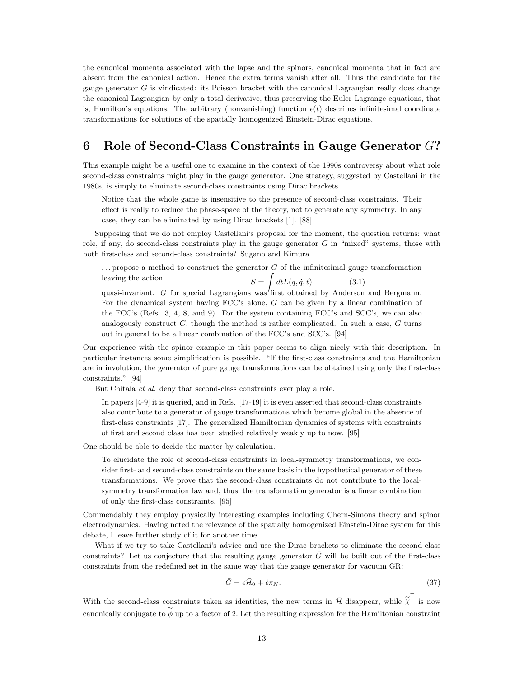the canonical momenta associated with the lapse and the spinors, canonical momenta that in fact are absent from the canonical action. Hence the extra terms vanish after all. Thus the candidate for the gauge generator  $G$  is vindicated: its Poisson bracket with the canonical Lagrangian really does change the canonical Lagrangian by only a total derivative, thus preserving the Euler-Lagrange equations, that is, Hamilton's equations. The arbitrary (nonvanishing) function  $\epsilon(t)$  describes infinitesimal coordinate transformations for solutions of the spatially homogenized Einstein-Dirac equations.

# 6 Role of Second-Class Constraints in Gauge Generator G?

This example might be a useful one to examine in the context of the 1990s controversy about what role second-class constraints might play in the gauge generator. One strategy, suggested by Castellani in the 1980s, is simply to eliminate second-class constraints using Dirac brackets.

Notice that the whole game is insensitive to the presence of second-class constraints. Their effect is really to reduce the phase-space of the theory, not to generate any symmetry. In any case, they can be eliminated by using Dirac brackets [1]. [88]

Supposing that we do not employ Castellani's proposal for the moment, the question returns: what role, if any, do second-class constraints play in the gauge generator  $G$  in "mixed" systems, those with both first-class and second-class constraints? Sugano and Kimura

 $\ldots$  propose a method to construct the generator  $G$  of the infinitesimal gauge transformation leaving the action  $S = \int dt L(q, \dot{q}, t)$  (3.1)

quasi-invariant. G for special Lagrangians was first obtained by Anderson and Bergmann. For the dynamical system having FCC's alone, G can be given by a linear combination of the FCC's (Refs. 3, 4, 8, and 9). For the system containing FCC's and SCC's, we can also analogously construct  $G$ , though the method is rather complicated. In such a case,  $G$  turns out in general to be a linear combination of the FCC's and SCC's. [94]

Our experience with the spinor example in this paper seems to align nicely with this description. In particular instances some simplification is possible. "If the first-class constraints and the Hamiltonian are in involution, the generator of pure gauge transformations can be obtained using only the first-class constraints." [94]

But Chitaia *et al.* deny that second-class constraints ever play a role.

In papers [4-9] it is queried, and in Refs. [17-19] it is even asserted that second-class constraints also contribute to a generator of gauge transformations which become global in the absence of first-class constraints [17]. The generalized Hamiltonian dynamics of systems with constraints of first and second class has been studied relatively weakly up to now. [95]

One should be able to decide the matter by calculation.

To elucidate the role of second-class constraints in local-symmetry transformations, we consider first- and second-class constraints on the same basis in the hypothetical generator of these transformations. We prove that the second-class constraints do not contribute to the localsymmetry transformation law and, thus, the transformation generator is a linear combination of only the first-class constraints. [95]

Commendably they employ physically interesting examples including Chern-Simons theory and spinor electrodynamics. Having noted the relevance of the spatially homogenized Einstein-Dirac system for this debate, I leave further study of it for another time.

What if we try to take Castellani's advice and use the Dirac brackets to eliminate the second-class constraints? Let us conjecture that the resulting gauge generator  $G$  will be built out of the first-class constraints from the redefined set in the same way that the gauge generator for vacuum GR:

$$
\bar{G} = \epsilon \bar{\mathcal{H}}_0 + \dot{\epsilon} \pi_N. \tag{37}
$$

With the second-class constraints taken as identities, the new terms in  $\bar{\mathcal{H}}$  disappear, while  $\tilde{\chi}^{\top}$  is now canonically conjugate to  $\stackrel{\sim}{\phi}$  up to a factor of 2. Let the resulting expression for the Hamiltonian constraint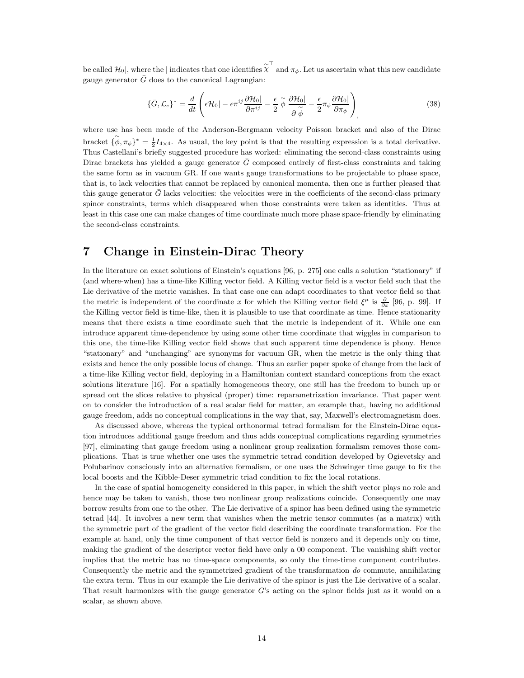be called  $\mathcal{H}_0$ , where the | indicates that one identifies  $\chi^{\pm}$  and  $\pi_{\phi}$ . Let us ascertain what this new candidate gauge generator  $\bar{G}$  does to the canonical Lagrangian:

$$
\{\bar{G}, \mathcal{L}_c\}^* = \frac{d}{dt} \left( \epsilon \mathcal{H}_0 | -\epsilon \pi^{ij} \frac{\partial \mathcal{H}_0 |}{\partial \pi^{ij}} - \frac{\epsilon}{2} \tilde{\phi} \frac{\partial \mathcal{H}_0 |}{\partial \tilde{\phi}} - \frac{\epsilon}{2} \pi_\phi \frac{\partial \mathcal{H}_0 |}{\partial \pi_\phi} \right) \tag{38}
$$

where use has been made of the Anderson-Bergmann velocity Poisson bracket and also of the Dirac bracket  $\{\phi^{\checkmark}, \pi_\phi\}^* = \frac{1}{2}I_{4\times4}$ . As usual, the key point is that the resulting expression is a total derivative. Thus Castellani's briefly suggested procedure has worked: eliminating the second-class constraints using Dirac brackets has yielded a gauge generator  $\bar{G}$  composed entirely of first-class constraints and taking the same form as in vacuum GR. If one wants gauge transformations to be projectable to phase space, that is, to lack velocities that cannot be replaced by canonical momenta, then one is further pleased that this gauge generator  $\bar{G}$  lacks velocities: the velocities were in the coefficients of the second-class primary spinor constraints, terms which disappeared when those constraints were taken as identities. Thus at least in this case one can make changes of time coordinate much more phase space-friendly by eliminating the second-class constraints.

#### 7 Change in Einstein-Dirac Theory

In the literature on exact solutions of Einstein's equations [96, p. 275] one calls a solution "stationary" if (and where-when) has a time-like Killing vector field. A Killing vector field is a vector field such that the Lie derivative of the metric vanishes. In that case one can adapt coordinates to that vector field so that the metric is independent of the coordinate x for which the Killing vector field  $\xi^{\mu}$  is  $\frac{\partial}{\partial x}$  [96, p. 99]. If the Killing vector field is time-like, then it is plausible to use that coordinate as time. Hence stationarity means that there exists a time coordinate such that the metric is independent of it. While one can introduce apparent time-dependence by using some other time coordinate that wiggles in comparison to this one, the time-like Killing vector field shows that such apparent time dependence is phony. Hence "stationary" and "unchanging" are synonyms for vacuum GR, when the metric is the only thing that exists and hence the only possible locus of change. Thus an earlier paper spoke of change from the lack of a time-like Killing vector field, deploying in a Hamiltonian context standard conceptions from the exact solutions literature [16]. For a spatially homogeneous theory, one still has the freedom to bunch up or spread out the slices relative to physical (proper) time: reparametrization invariance. That paper went on to consider the introduction of a real scalar field for matter, an example that, having no additional gauge freedom, adds no conceptual complications in the way that, say, Maxwell's electromagnetism does.

As discussed above, whereas the typical orthonormal tetrad formalism for the Einstein-Dirac equation introduces additional gauge freedom and thus adds conceptual complications regarding symmetries [97], eliminating that gauge freedom using a nonlinear group realization formalism removes those complications. That is true whether one uses the symmetric tetrad condition developed by Ogievetsky and Polubarinov consciously into an alternative formalism, or one uses the Schwinger time gauge to fix the local boosts and the Kibble-Deser symmetric triad condition to fix the local rotations.

In the case of spatial homogeneity considered in this paper, in which the shift vector plays no role and hence may be taken to vanish, those two nonlinear group realizations coincide. Consequently one may borrow results from one to the other. The Lie derivative of a spinor has been defined using the symmetric tetrad [44]. It involves a new term that vanishes when the metric tensor commutes (as a matrix) with the symmetric part of the gradient of the vector field describing the coordinate transformation. For the example at hand, only the time component of that vector field is nonzero and it depends only on time, making the gradient of the descriptor vector field have only a 00 component. The vanishing shift vector implies that the metric has no time-space components, so only the time-time component contributes. Consequently the metric and the symmetrized gradient of the transformation *do* commute, annihilating the extra term. Thus in our example the Lie derivative of the spinor is just the Lie derivative of a scalar. That result harmonizes with the gauge generator G's acting on the spinor fields just as it would on a scalar, as shown above.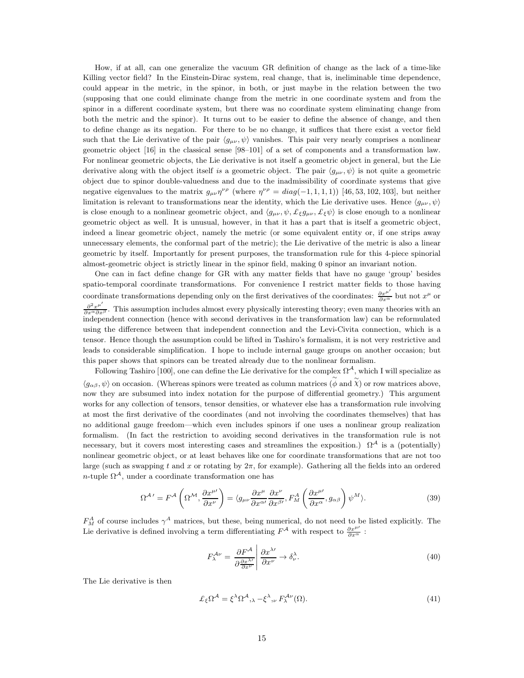How, if at all, can one generalize the vacuum GR definition of change as the lack of a time-like Killing vector field? In the Einstein-Dirac system, real change, that is, ineliminable time dependence, could appear in the metric, in the spinor, in both, or just maybe in the relation between the two (supposing that one could eliminate change from the metric in one coordinate system and from the spinor in a different coordinate system, but there was no coordinate system eliminating change from both the metric and the spinor). It turns out to be easier to define the absence of change, and then to define change as its negation. For there to be no change, it suffices that there exist a vector field such that the Lie derivative of the pair  $\langle g_{\mu\nu}, \psi \rangle$  vanishes. This pair very nearly comprises a nonlinear geometric object [16] in the classical sense [98–101] of a set of components and a transformation law. For nonlinear geometric objects, the Lie derivative is not itself a geometric object in general, but the Lie derivative along with the object itself *is* a geometric object. The pair  $\langle g_{\mu\nu}, \psi \rangle$  is not quite a geometric object due to spinor double-valuedness and due to the inadmissibility of coordinate systems that give negative eigenvalues to the matrix  $g_{\mu\nu}\eta^{\nu\rho}$  (where  $\eta^{\nu\rho} = diag(-1, 1, 1, 1)$ ) [46, 53, 102, 103], but neither limitation is relevant to transformations near the identity, which the Lie derivative uses. Hence  $\langle g_{\mu\nu}, \psi \rangle$ is close enough to a nonlinear geometric object, and  $\langle g_{\mu\nu}, \psi, \pounds_{\xi} g_{\mu\nu}, \pounds_{\xi} \psi \rangle$  is close enough to a nonlinear geometric object as well. It is unusual, however, in that it has a part that is itself a geometric object, indeed a linear geometric object, namely the metric (or some equivalent entity or, if one strips away unnecessary elements, the conformal part of the metric); the Lie derivative of the metric is also a linear geometric by itself. Importantly for present purposes, the transformation rule for this 4-piece spinorial almost-geometric object is strictly linear in the spinor field, making 0 spinor an invariant notion.

One can in fact define change for GR with any matter fields that have no gauge 'group' besides spatio-temporal coordinate transformations. For convenience I restrict matter fields to those having coordinate transformations depending only on the first derivatives of the coordinates:  $\frac{\partial x^{\mu'}}{\partial x^{\alpha}}$  but not  $x^{\mu}$  or  $\frac{\partial^2 x^{\mu'}}{\partial x^{\alpha} \partial x^{\beta}}$ . This assumption includes almost every physically interesting theory; even many theories with an independent connection (hence with second derivatives in the transformation law) can be reformulated using the difference between that independent connection and the Levi-Civita connection, which is a tensor. Hence though the assumption could be lifted in Tashiro's formalism, it is not very restrictive and leads to considerable simplification. I hope to include internal gauge groups on another occasion; but this paper shows that spinors can be treated already due to the nonlinear formalism.

Following Tashiro [100], one can define the Lie derivative for the complex  $\Omega^{\mathcal{A}}$ , which I will specialize as  $\langle g_{\alpha\beta}, \psi \rangle$  on occasion. (Whereas spinors were treated as column matrices  $(\phi \text{ and } \tilde{\chi})$  or row matrices above, now they are subsumed into index notation for the purpose of differential geometry.) This argument works for any collection of tensors, tensor densities, or whatever else has a transformation rule involving at most the first derivative of the coordinates (and not involving the coordinates themselves) that has no additional gauge freedom—which even includes spinors if one uses a nonlinear group realization formalism. (In fact the restriction to avoiding second derivatives in the transformation rule is not necessary, but it covers most interesting cases and streamlines the exposition.)  $\Omega^A$  is a (potentially) nonlinear geometric object, or at least behaves like one for coordinate transformations that are not too large (such as swapping t and x or rotating by  $2\pi$ , for example). Gathering all the fields into an ordered n-tuple  $\Omega^{\mathcal{A}}$ , under a coordinate transformation one has

$$
\Omega^{\mathcal{A}\'} = F^{\mathcal{A}}\left(\Omega^{\mathcal{M}}, \frac{\partial x^{\mu\prime}}{\partial x^{\nu}}\right) = \langle g_{\mu\nu} \frac{\partial x^{\mu}}{\partial x^{\alpha\prime}} \frac{\partial x^{\nu}}{\partial x^{\beta\prime}}, F_{M}^{\mathcal{A}}\left(\frac{\partial x^{\mu\prime}}{\partial x^{\alpha}}, g_{\alpha\beta}\right) \psi^{M} \rangle. \tag{39}
$$

 $F_M^A$  of course includes  $\gamma^A$  matrices, but these, being numerical, do not need to be listed explicitly. The Lie derivative is defined involving a term differentiating  $F^{\mathcal{A}}$  with respect to  $\frac{\partial x^{\mu\prime}}{\partial x^{\alpha}}$ :

$$
F_{\lambda}^{\mathcal{A}\nu} = \frac{\partial F^{\mathcal{A}}}{\partial \frac{\partial x^{\lambda\prime}}{\partial x^{\nu}}} \middle| \frac{\partial x^{\lambda\prime}}{\partial x^{\nu}} \to \delta_{\nu}^{\lambda}.
$$
 (40)

The Lie derivative is then

$$
\pounds_{\xi}\Omega^{\mathcal{A}} = \xi^{\lambda}\Omega^{\mathcal{A}}, \lambda - \xi^{\lambda}, \nu F_{\lambda}^{\mathcal{A}\nu}(\Omega). \tag{41}
$$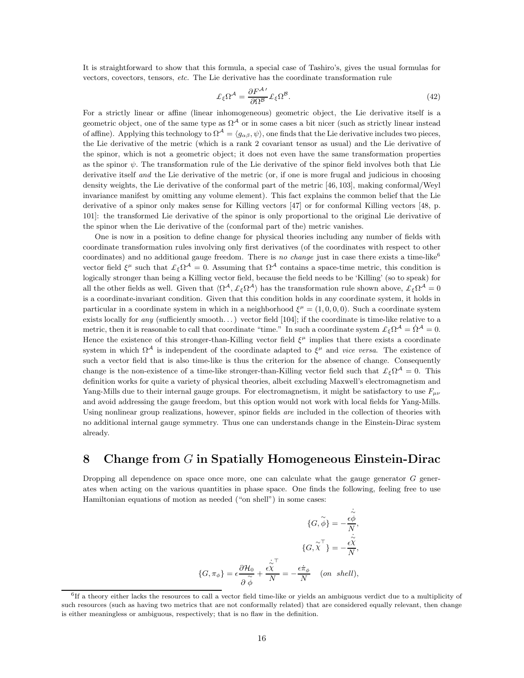It is straightforward to show that this formula, a special case of Tashiro's, gives the usual formulas for vectors, covectors, tensors, *etc.* The Lie derivative has the coordinate transformation rule

$$
\mathcal{L}_{\xi}\Omega^{\mathcal{A}} = \frac{\partial F^{\mathcal{A}\prime}}{\partial \Omega^{\mathcal{B}}} \mathcal{L}_{\xi}\Omega^{\mathcal{B}}.
$$
\n(42)

For a strictly linear or affine (linear inhomogeneous) geometric object, the Lie derivative itself is a geometric object, one of the same type as  $\Omega^A$  or in some cases a bit nicer (such as strictly linear instead of affine). Applying this technology to  $\Omega^A = \langle g_{\alpha\beta}, \psi \rangle$ , one finds that the Lie derivative includes two pieces, the Lie derivative of the metric (which is a rank 2 covariant tensor as usual) and the Lie derivative of the spinor, which is not a geometric object; it does not even have the same transformation properties as the spinor  $\psi$ . The transformation rule of the Lie derivative of the spinor field involves both that Lie derivative itself *and* the Lie derivative of the metric (or, if one is more frugal and judicious in choosing density weights, the Lie derivative of the conformal part of the metric [46, 103], making conformal/Weyl invariance manifest by omitting any volume element). This fact explains the common belief that the Lie derivative of a spinor only makes sense for Killing vectors [47] or for conformal Killing vectors [48, p. 101]: the transformed Lie derivative of the spinor is only proportional to the original Lie derivative of the spinor when the Lie derivative of the (conformal part of the) metric vanishes.

One is now in a position to define change for physical theories including any number of fields with coordinate transformation rules involving only first derivatives (of the coordinates with respect to other coordinates) and no additional gauge freedom. There is *no change* just in case there exists a time-like<sup>6</sup> vector field  $\xi^{\mu}$  such that  $\mathcal{L}_{\xi}\Omega^{\mathcal{A}}=0$ . Assuming that  $\Omega^{\mathcal{A}}$  contains a space-time metric, this condition is logically stronger than being a Killing vector field, because the field needs to be 'Killing' (so to speak) for all the other fields as well. Given that  $\langle \Omega^{\mathcal{A}}, \pounds_{\xi} \Omega^{\mathcal{A}} \rangle$  has the transformation rule shown above,  $\pounds_{\xi} \Omega^{\mathcal{A}} = 0$ is a coordinate-invariant condition. Given that this condition holds in any coordinate system, it holds in particular in a coordinate system in which in a neighborhood  $\xi^{\mu} = (1, 0, 0, 0)$ . Such a coordinate system exists locally for *any* (sufficiently smooth...) vector field [104]; if the coordinate is time-like relative to a metric, then it is reasonable to call that coordinate "time." In such a coordinate system  $\mathcal{L}_{\xi}\Omega^{\mathcal{A}} = \dot{\Omega}^{\mathcal{A}} = 0$ . Hence the existence of this stronger-than-Killing vector field  $\xi^{\mu}$  implies that there exists a coordinate system in which  $\Omega^A$  is independent of the coordinate adapted to  $\xi^{\mu}$  and *vice versa*. The existence of such a vector field that is also time-like is thus the criterion for the absence of change. Consequently change is the non-existence of a time-like stronger-than-Killing vector field such that  $\mathcal{L}_{\xi}\Omega^{\mathcal{A}}=0$ . This definition works for quite a variety of physical theories, albeit excluding Maxwell's electromagnetism and Yang-Mills due to their internal gauge groups. For electromagnetism, it might be satisfactory to use  $F_{\mu\nu}$ and avoid addressing the gauge freedom, but this option would not work with local fields for Yang-Mills. Using nonlinear group realizations, however, spinor fields *are* included in the collection of theories with no additional internal gauge symmetry. Thus one can understands change in the Einstein-Dirac system already.

## 8 Change from G in Spatially Homogeneous Einstein-Dirac

Dropping all dependence on space once more, one can calculate what the gauge generator  $G$  generates when acting on the various quantities in phase space. One finds the following, feeling free to use Hamiltonian equations of motion as needed ("on shell") in some cases:

$$
\{G, \widetilde{\phi}\} = -\frac{\dot{\widetilde{\phi}}}{N},
$$

$$
\{G, \widetilde{\chi}^{\top}\} = -\frac{\dot{\widetilde{\phi}}}{N},
$$

$$
\{G, \widetilde{\chi}^{\top}\} = -\frac{\dot{\widetilde{\phi}}}{N},
$$

$$
\{G, \pi_{\phi}\} = \epsilon \frac{\partial \mathcal{H}_{0}}{\partial \widetilde{\phi}} + \frac{\dot{\widetilde{\phi}}^{\top}}{N} = -\frac{\epsilon \dot{\pi}_{\phi}}{N} \quad (on \ shell),
$$

<sup>6</sup> If a theory either lacks the resources to call a vector field time-like or yields an ambiguous verdict due to a multiplicity of such resources (such as having two metrics that are not conformally related) that are considered equally relevant, then change is either meaningless or ambiguous, respectively; that is no flaw in the definition.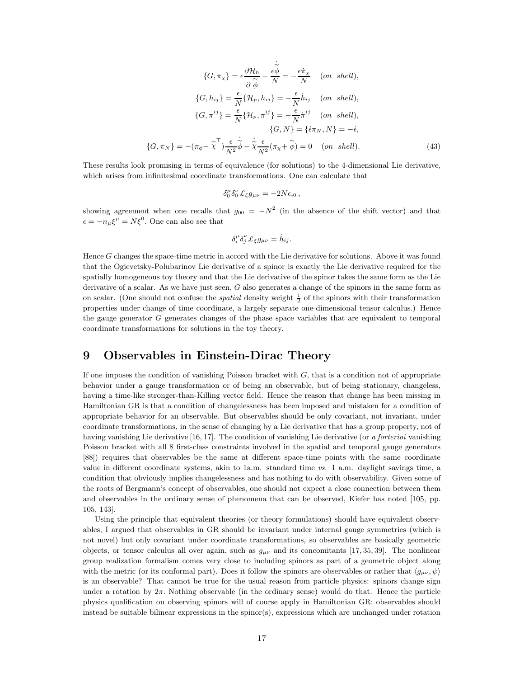$$
\{G, \pi_{\chi}\} = \epsilon \frac{\partial \mathcal{H}_0}{\partial \phi} - \frac{\dot{\epsilon} \dot{\phi}}{N} = -\frac{\epsilon \dot{\pi}_{\chi}}{N} \quad (on \ shell),
$$
  

$$
\{G, h_{ij}\} = \frac{\epsilon}{N} \{ \mathcal{H}_p, h_{ij} \} = -\frac{\epsilon}{N} \dot{h}_{ij} \quad (on \ shell),
$$
  

$$
\{G, \pi^{ij}\} = \frac{\epsilon}{N} \{ \mathcal{H}_p, \pi^{ij}\} = -\frac{\epsilon}{N} \dot{\pi}^{ij} \quad (on \ shell),
$$
  

$$
\{G, N\} = \{ \dot{\epsilon} \pi_N, N \} = -\dot{\epsilon},
$$
  

$$
\{G, \pi_N\} = -(\pi_{\phi} - \tilde{\chi}^{\top}) \frac{\epsilon}{N^2} \dot{\phi} - \dot{\tilde{\chi}} \frac{\epsilon}{N^2} (\pi_{\chi} + \tilde{\phi}) = 0 \quad (on \ shell).
$$
 (43)

These results look promising in terms of equivalence (for solutions) to the 4-dimensional Lie derivative, which arises from infinitesimal coordinate transformations. One can calculate that

$$
\delta^\mu_0\delta^\nu_0\pounds_\xi g_{\mu\nu}=-2N\epsilon,_0\,,
$$

showing agreement when one recalls that  $g_{00} = -N^2$  (in the absence of the shift vector) and that  $\epsilon = -n_{\mu}\xi^{\mu} = N\xi^{0}$ . One can also see that

$$
\delta_i^{\mu} \delta_j^{\nu} \mathcal{L}_{\xi} g_{\mu\nu} = \dot{h}_{ij}.
$$

Hence G changes the space-time metric in accord with the Lie derivative for solutions. Above it was found that the Ogievetsky-Polubarinov Lie derivative of a spinor is exactly the Lie derivative required for the spatially homogeneous toy theory and that the Lie derivative of the spinor takes the same form as the Lie derivative of a scalar. As we have just seen,  $G$  also generates a change of the spinors in the same form as on scalar. (One should not confuse the *spatial* density weight  $\frac{1}{2}$  of the spinors with their transformation properties under change of time coordinate, a largely separate one-dimensional tensor calculus.) Hence the gauge generator G generates changes of the phase space variables that are equivalent to temporal coordinate transformations for solutions in the toy theory.

#### 9 Observables in Einstein-Dirac Theory

If one imposes the condition of vanishing Poisson bracket with  $G$ , that is a condition not of appropriate behavior under a gauge transformation or of being an observable, but of being stationary, changeless, having a time-like stronger-than-Killing vector field. Hence the reason that change has been missing in Hamiltonian GR is that a condition of changelessness has been imposed and mistaken for a condition of appropriate behavior for an observable. But observables should be only covariant, not invariant, under coordinate transformations, in the sense of changing by a Lie derivative that has a group property, not of having vanishing Lie derivative [16, 17]. The condition of vanishing Lie derivative (or *a forterioi* vanishing Poisson bracket with all 8 first-class constraints involved in the spatial and temporal gauge generators [88]) requires that observables be the same at different space-time points with the same coordinate value in different coordinate systems, akin to 1a.m. standard time *vs.* 1 a.m. daylight savings time, a condition that obviously implies changelessness and has nothing to do with observability. Given some of the roots of Bergmann's concept of observables, one should not expect a close connection between them and observables in the ordinary sense of phenomena that can be observed, Kiefer has noted [105, pp. 105, 143].

Using the principle that equivalent theories (or theory formulations) should have equivalent observables, I argued that observables in GR should be invariant under internal gauge symmetries (which is not novel) but only covariant under coordinate transformations, so observables are basically geometric objects, or tensor calculus all over again, such as  $g_{\mu\nu}$  and its concomitants [17, 35, 39]. The nonlinear group realization formalism comes very close to including spinors as part of a geometric object along with the metric (or its conformal part). Does it follow the spinors are observables or rather that  $\langle g_{\mu\nu}, \psi \rangle$ is an observable? That cannot be true for the usual reason from particle physics: spinors change sign under a rotation by  $2\pi$ . Nothing observable (in the ordinary sense) would do that. Hence the particle physics qualification on observing spinors will of course apply in Hamiltonian GR: observables should instead be suitable bilinear expressions in the spinor(s), expressions which are unchanged under rotation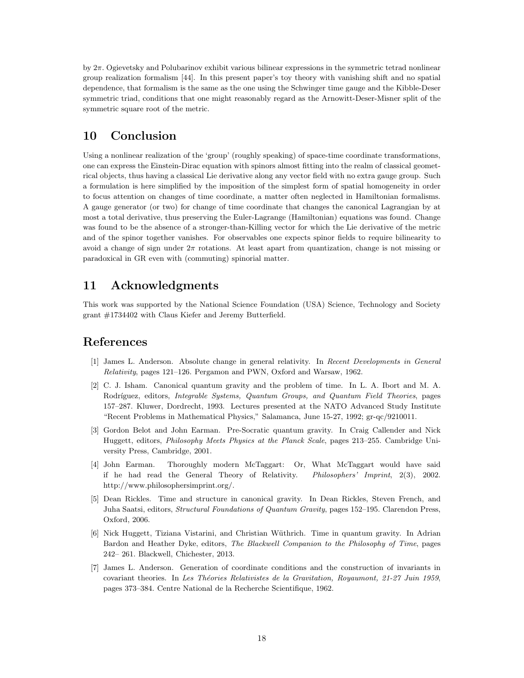by 2π. Ogievetsky and Polubarinov exhibit various bilinear expressions in the symmetric tetrad nonlinear group realization formalism [44]. In this present paper's toy theory with vanishing shift and no spatial dependence, that formalism is the same as the one using the Schwinger time gauge and the Kibble-Deser symmetric triad, conditions that one might reasonably regard as the Arnowitt-Deser-Misner split of the symmetric square root of the metric.

### 10 Conclusion

Using a nonlinear realization of the 'group' (roughly speaking) of space-time coordinate transformations, one can express the Einstein-Dirac equation with spinors almost fitting into the realm of classical geometrical objects, thus having a classical Lie derivative along any vector field with no extra gauge group. Such a formulation is here simplified by the imposition of the simplest form of spatial homogeneity in order to focus attention on changes of time coordinate, a matter often neglected in Hamiltonian formalisms. A gauge generator (or two) for change of time coordinate that changes the canonical Lagrangian by at most a total derivative, thus preserving the Euler-Lagrange (Hamiltonian) equations was found. Change was found to be the absence of a stronger-than-Killing vector for which the Lie derivative of the metric and of the spinor together vanishes. For observables one expects spinor fields to require bilinearity to avoid a change of sign under  $2\pi$  rotations. At least apart from quantization, change is not missing or paradoxical in GR even with (commuting) spinorial matter.

### 11 Acknowledgments

This work was supported by the National Science Foundation (USA) Science, Technology and Society grant #1734402 with Claus Kiefer and Jeremy Butterfield.

#### References

- [1] James L. Anderson. Absolute change in general relativity. In *Recent Developments in General Relativity*, pages 121–126. Pergamon and PWN, Oxford and Warsaw, 1962.
- [2] C. J. Isham. Canonical quantum gravity and the problem of time. In L. A. Ibort and M. A. Rodríguez, editors, *Integrable Systems, Quantum Groups, and Quantum Field Theories*, pages 157–287. Kluwer, Dordrecht, 1993. Lectures presented at the NATO Advanced Study Institute "Recent Problems in Mathematical Physics," Salamanca, June 15-27, 1992; gr-qc/9210011.
- [3] Gordon Belot and John Earman. Pre-Socratic quantum gravity. In Craig Callender and Nick Huggett, editors, *Philosophy Meets Physics at the Planck Scale*, pages 213–255. Cambridge University Press, Cambridge, 2001.
- [4] John Earman. Thoroughly modern McTaggart: Or, What McTaggart would have said if he had read the General Theory of Relativity. *Philosophers' Imprint*, 2(3), 2002. http://www.philosophersimprint.org/.
- [5] Dean Rickles. Time and structure in canonical gravity. In Dean Rickles, Steven French, and Juha Saatsi, editors, *Structural Foundations of Quantum Gravity*, pages 152–195. Clarendon Press, Oxford, 2006.
- [6] Nick Huggett, Tiziana Vistarini, and Christian W¨uthrich. Time in quantum gravity. In Adrian Bardon and Heather Dyke, editors, *The Blackwell Companion to the Philosophy of Time*, pages 242– 261. Blackwell, Chichester, 2013.
- [7] James L. Anderson. Generation of coordinate conditions and the construction of invariants in covariant theories. In Les Théories Relativistes de la Gravitation, Royaumont, 21-27 Juin 1959, pages 373–384. Centre National de la Recherche Scientifique, 1962.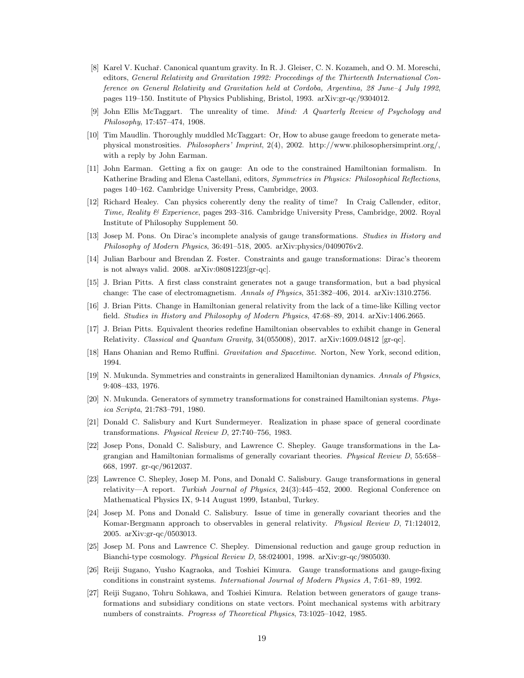- [8] Karel V. Kuchař. Canonical quantum gravity. In R. J. Gleiser, C. N. Kozameh, and O. M. Moreschi, editors, *General Relativity and Gravitation 1992: Proceedings of the Thirteenth International Conference on General Relativity and Gravitation held at Cordoba, Argentina, 28 June–4 July 1992*, pages 119–150. Institute of Physics Publishing, Bristol, 1993. arXiv:gr-qc/9304012.
- [9] John Ellis McTaggart. The unreality of time. *Mind: A Quarterly Review of Psychology and Philosophy*, 17:457–474, 1908.
- [10] Tim Maudlin. Thoroughly muddled McTaggart: Or, How to abuse gauge freedom to generate metaphysical monstrosities. *Philosophers' Imprint*, 2(4), 2002. http://www.philosophersimprint.org/, with a reply by John Earman.
- [11] John Earman. Getting a fix on gauge: An ode to the constrained Hamiltonian formalism. In Katherine Brading and Elena Castellani, editors, *Symmetries in Physics: Philosophical Reflections*, pages 140–162. Cambridge University Press, Cambridge, 2003.
- [12] Richard Healey. Can physics coherently deny the reality of time? In Craig Callender, editor, *Time, Reality & Experience*, pages 293–316. Cambridge University Press, Cambridge, 2002. Royal Institute of Philosophy Supplement 50.
- [13] Josep M. Pons. On Dirac's incomplete analysis of gauge transformations. *Studies in History and Philosophy of Modern Physics*, 36:491–518, 2005. arXiv:physics/0409076v2.
- [14] Julian Barbour and Brendan Z. Foster. Constraints and gauge transformations: Dirac's theorem is not always valid. 2008. arXiv:08081223[gr-qc].
- [15] J. Brian Pitts. A first class constraint generates not a gauge transformation, but a bad physical change: The case of electromagnetism. *Annals of Physics*, 351:382–406, 2014. arXiv:1310.2756.
- [16] J. Brian Pitts. Change in Hamiltonian general relativity from the lack of a time-like Killing vector field. *Studies in History and Philosophy of Modern Physics*, 47:68–89, 2014. arXiv:1406.2665.
- [17] J. Brian Pitts. Equivalent theories redefine Hamiltonian observables to exhibit change in General Relativity. *Classical and Quantum Gravity*, 34(055008), 2017. arXiv:1609.04812 [gr-qc].
- [18] Hans Ohanian and Remo Ruffini. *Gravitation and Spacetime*. Norton, New York, second edition, 1994.
- [19] N. Mukunda. Symmetries and constraints in generalized Hamiltonian dynamics. *Annals of Physics*, 9:408–433, 1976.
- [20] N. Mukunda. Generators of symmetry transformations for constrained Hamiltonian systems. *Physica Scripta*, 21:783–791, 1980.
- [21] Donald C. Salisbury and Kurt Sundermeyer. Realization in phase space of general coordinate transformations. *Physical Review D*, 27:740–756, 1983.
- [22] Josep Pons, Donald C. Salisbury, and Lawrence C. Shepley. Gauge transformations in the Lagrangian and Hamiltonian formalisms of generally covariant theories. *Physical Review D*, 55:658– 668, 1997. gr-qc/9612037.
- [23] Lawrence C. Shepley, Josep M. Pons, and Donald C. Salisbury. Gauge transformations in general relativity—A report. *Turkish Journal of Physics*, 24(3):445–452, 2000. Regional Conference on Mathematical Physics IX, 9-14 August 1999, Istanbul, Turkey.
- [24] Josep M. Pons and Donald C. Salisbury. Issue of time in generally covariant theories and the Komar-Bergmann approach to observables in general relativity. *Physical Review D*, 71:124012, 2005. arXiv:gr-qc/0503013.
- [25] Josep M. Pons and Lawrence C. Shepley. Dimensional reduction and gauge group reduction in Bianchi-type cosmology. *Physical Review D*, 58:024001, 1998. arXiv:gr-qc/9805030.
- [26] Reiji Sugano, Yusho Kagraoka, and Toshiei Kimura. Gauge transformations and gauge-fixing conditions in constraint systems. *International Journal of Modern Physics A*, 7:61–89, 1992.
- [27] Reiji Sugano, Tohru Sohkawa, and Toshiei Kimura. Relation between generators of gauge transformations and subsidiary conditions on state vectors. Point mechanical systems with arbitrary numbers of constraints. *Progress of Theoretical Physics*, 73:1025–1042, 1985.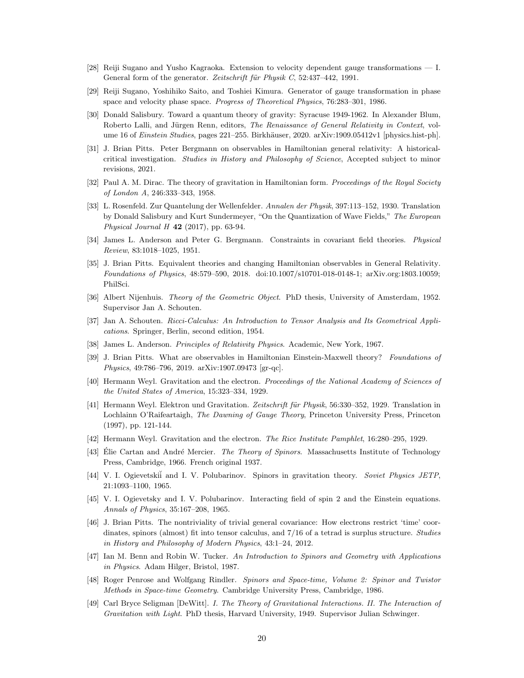- [28] Reiji Sugano and Yusho Kagraoka. Extension to velocity dependent gauge transformations I. General form of the generator. *Zeitschrift für Physik C*, 52:437–442, 1991.
- [29] Reiji Sugano, Yoshihiko Saito, and Toshiei Kimura. Generator of gauge transformation in phase space and velocity phase space. *Progress of Theoretical Physics*, 76:283–301, 1986.
- [30] Donald Salisbury. Toward a quantum theory of gravity: Syracuse 1949-1962. In Alexander Blum, Roberto Lalli, and Jürgen Renn, editors, *The Renaissance of General Relativity in Context*, volume 16 of *Einstein Studies*, pages 221–255. Birkhäuser, 2020. arXiv:1909.05412v1 [physics.hist-ph].
- [31] J. Brian Pitts. Peter Bergmann on observables in Hamiltonian general relativity: A historicalcritical investigation. *Studies in History and Philosophy of Science*, Accepted subject to minor revisions, 2021.
- [32] Paul A. M. Dirac. The theory of gravitation in Hamiltonian form. *Proceedings of the Royal Society of London A*, 246:333–343, 1958.
- [33] L. Rosenfeld. Zur Quantelung der Wellenfelder. *Annalen der Physik*, 397:113–152, 1930. Translation by Donald Salisbury and Kurt Sundermeyer, "On the Quantization of Wave Fields," *The European Physical Journal H* 42 (2017), pp. 63-94.
- [34] James L. Anderson and Peter G. Bergmann. Constraints in covariant field theories. *Physical Review*, 83:1018–1025, 1951.
- [35] J. Brian Pitts. Equivalent theories and changing Hamiltonian observables in General Relativity. *Foundations of Physics*, 48:579–590, 2018. doi:10.1007/s10701-018-0148-1; arXiv.org:1803.10059; PhilSci.
- [36] Albert Nijenhuis. *Theory of the Geometric Object*. PhD thesis, University of Amsterdam, 1952. Supervisor Jan A. Schouten.
- [37] Jan A. Schouten. *Ricci-Calculus: An Introduction to Tensor Analysis and Its Geometrical Applications*. Springer, Berlin, second edition, 1954.
- [38] James L. Anderson. *Principles of Relativity Physics*. Academic, New York, 1967.
- [39] J. Brian Pitts. What are observables in Hamiltonian Einstein-Maxwell theory? *Foundations of Physics*, 49:786–796, 2019. arXiv:1907.09473 [gr-qc].
- [40] Hermann Weyl. Gravitation and the electron. *Proceedings of the National Academy of Sciences of the United States of America*, 15:323–334, 1929.
- [41] Hermann Weyl. Elektron und Gravitation. Zeitschrift für Physik, 56:330–352, 1929. Translation in Lochlainn O'Raifeartaigh, *The Dawning of Gauge Theory*, Princeton University Press, Princeton (1997), pp. 121-144.
- [42] Hermann Weyl. Gravitation and the electron. *The Rice Institute Pamphlet*, 16:280–295, 1929.
- [43] Elie Cartan and André Mercier. *The Theory of Spinors*. Massachusetts Institute of Technology Press, Cambridge, 1966. French original 1937.
- [44] V. I. Ogievetski˘i and I. V. Polubarinov. Spinors in gravitation theory. *Soviet Physics JETP*, 21:1093–1100, 1965.
- [45] V. I. Ogievetsky and I. V. Polubarinov. Interacting field of spin 2 and the Einstein equations. *Annals of Physics*, 35:167–208, 1965.
- [46] J. Brian Pitts. The nontriviality of trivial general covariance: How electrons restrict 'time' coordinates, spinors (almost) fit into tensor calculus, and 7/16 of a tetrad is surplus structure. *Studies in History and Philosophy of Modern Physics*, 43:1–24, 2012.
- [47] Ian M. Benn and Robin W. Tucker. *An Introduction to Spinors and Geometry with Applications in Physics*. Adam Hilger, Bristol, 1987.
- [48] Roger Penrose and Wolfgang Rindler. *Spinors and Space-time, Volume 2: Spinor and Twistor Methods in Space-time Geometry*. Cambridge University Press, Cambridge, 1986.
- [49] Carl Bryce Seligman [DeWitt]. *I. The Theory of Gravitational Interactions. II. The Interaction of Gravitation with Light*. PhD thesis, Harvard University, 1949. Supervisor Julian Schwinger.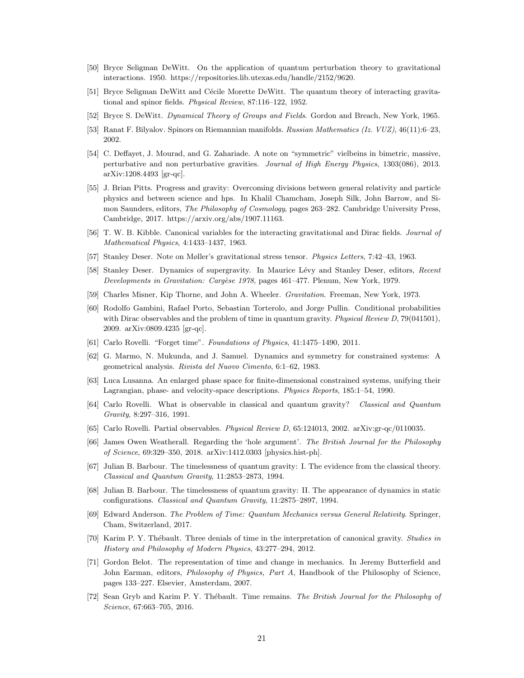- [50] Bryce Seligman DeWitt. On the application of quantum perturbation theory to gravitational interactions. 1950. https://repositories.lib.utexas.edu/handle/2152/9620.
- [51] Bryce Seligman DeWitt and Cécile Morette DeWitt. The quantum theory of interacting gravitational and spinor fields. *Physical Review*, 87:116–122, 1952.
- [52] Bryce S. DeWitt. *Dynamical Theory of Groups and Fields*. Gordon and Breach, New York, 1965.
- [53] Ranat F. Bilyalov. Spinors on Riemannian manifolds. *Russian Mathematics (Iz. VUZ)*, 46(11):6–23, 2002.
- [54] C. Deffayet, J. Mourad, and G. Zahariade. A note on "symmetric" vielbeins in bimetric, massive, perturbative and non perturbative gravities. *Journal of High Energy Physics*, 1303(086), 2013. arXiv:1208.4493 [gr-qc].
- [55] J. Brian Pitts. Progress and gravity: Overcoming divisions between general relativity and particle physics and between science and hps. In Khalil Chamcham, Joseph Silk, John Barrow, and Simon Saunders, editors, *The Philosophy of Cosmology*, pages 263–282. Cambridge University Press, Cambridge, 2017. https://arxiv.org/abs/1907.11163.
- [56] T. W. B. Kibble. Canonical variables for the interacting gravitational and Dirac fields. *Journal of Mathematical Physics*, 4:1433–1437, 1963.
- [57] Stanley Deser. Note on Møller's gravitational stress tensor. *Physics Letters*, 7:42–43, 1963.
- [58] Stanley Deser. Dynamics of supergravity. In Maurice Lévy and Stanley Deser, editors, *Recent Developments in Gravitation: Carg`ese 1978*, pages 461–477. Plenum, New York, 1979.
- [59] Charles Misner, Kip Thorne, and John A. Wheeler. *Gravitation*. Freeman, New York, 1973.
- [60] Rodolfo Gambini, Rafael Porto, Sebastian Torterolo, and Jorge Pullin. Conditional probabilities with Dirac observables and the problem of time in quantum gravity. *Physical Review D*, 79(041501), 2009. arXiv:0809.4235 [gr-qc].
- [61] Carlo Rovelli. "Forget time". *Foundations of Physics*, 41:1475–1490, 2011.
- [62] G. Marmo, N. Mukunda, and J. Samuel. Dynamics and symmetry for constrained systems: A geometrical analysis. *Rivista del Nuovo Cimento*, 6:1–62, 1983.
- [63] Luca Lusanna. An enlarged phase space for finite-dimensional constrained systems, unifying their Lagrangian, phase- and velocity-space descriptions. *Physics Reports*, 185:1–54, 1990.
- [64] Carlo Rovelli. What is observable in classical and quantum gravity? *Classical and Quantum Gravity*, 8:297–316, 1991.
- [65] Carlo Rovelli. Partial observables. *Physical Review D*, 65:124013, 2002. arXiv:gr-qc/0110035.
- [66] James Owen Weatherall. Regarding the 'hole argument'. *The British Journal for the Philosophy of Science*, 69:329–350, 2018. arXiv:1412.0303 [physics.hist-ph].
- [67] Julian B. Barbour. The timelessness of quantum gravity: I. The evidence from the classical theory. *Classical and Quantum Gravity*, 11:2853–2873, 1994.
- [68] Julian B. Barbour. The timelessness of quantum gravity: II. The appearance of dynamics in static configurations. *Classical and Quantum Gravity*, 11:2875–2897, 1994.
- [69] Edward Anderson. *The Problem of Time: Quantum Mechanics versus General Relativity*. Springer, Cham, Switzerland, 2017.
- [70] Karim P. Y. Th´ebault. Three denials of time in the interpretation of canonical gravity. *Studies in History and Philosophy of Modern Physics*, 43:277–294, 2012.
- [71] Gordon Belot. The representation of time and change in mechanics. In Jeremy Butterfield and John Earman, editors, *Philosophy of Physics, Part A*, Handbook of the Philosophy of Science, pages 133–227. Elsevier, Amsterdam, 2007.
- [72] Sean Gryb and Karim P. Y. Thébault. Time remains. *The British Journal for the Philosophy of Science*, 67:663–705, 2016.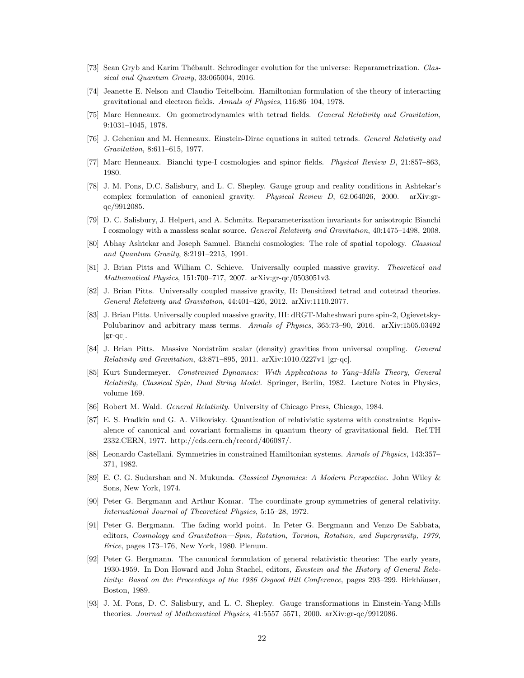- [73] Sean Gryb and Karim Thébault. Schrodinger evolution for the universe: Reparametrization. *Classical and Quantum Graviy*, 33:065004, 2016.
- [74] Jeanette E. Nelson and Claudio Teitelboim. Hamiltonian formulation of the theory of interacting gravitational and electron fields. *Annals of Physics*, 116:86–104, 1978.
- [75] Marc Henneaux. On geometrodynamics with tetrad fields. *General Relativity and Gravitation*, 9:1031–1045, 1978.
- [76] J. Geheniau and M. Henneaux. Einstein-Dirac equations in suited tetrads. *General Relativity and Gravitation*, 8:611–615, 1977.
- [77] Marc Henneaux. Bianchi type-I cosmologies and spinor fields. *Physical Review D*, 21:857–863, 1980.
- [78] J. M. Pons, D.C. Salisbury, and L. C. Shepley. Gauge group and reality conditions in Ashtekar's complex formulation of canonical gravity. *Physical Review D*, 62:064026, 2000. arXiv:grqc/9912085.
- [79] D. C. Salisbury, J. Helpert, and A. Schmitz. Reparameterization invariants for anisotropic Bianchi I cosmology with a massless scalar source. *General Relativity and Gravitation*, 40:1475–1498, 2008.
- [80] Abhay Ashtekar and Joseph Samuel. Bianchi cosmologies: The role of spatial topology. *Classical and Quantum Gravity*, 8:2191–2215, 1991.
- [81] J. Brian Pitts and William C. Schieve. Universally coupled massive gravity. *Theoretical and Mathematical Physics*, 151:700–717, 2007. arXiv:gr-qc/0503051v3.
- [82] J. Brian Pitts. Universally coupled massive gravity, II: Densitized tetrad and cotetrad theories. *General Relativity and Gravitation*, 44:401–426, 2012. arXiv:1110.2077.
- [83] J. Brian Pitts. Universally coupled massive gravity, III: dRGT-Maheshwari pure spin-2, Ogievetsky-Polubarinov and arbitrary mass terms. *Annals of Physics*, 365:73–90, 2016. arXiv:1505.03492  $\left[\text{gr-qc}\right]$ .
- [84] J. Brian Pitts. Massive Nordström scalar (density) gravities from universal coupling. *General Relativity and Gravitation*, 43:871–895, 2011. arXiv:1010.0227v1 [gr-qc].
- [85] Kurt Sundermeyer. *Constrained Dynamics: With Applications to Yang–Mills Theory, General Relativity, Classical Spin, Dual String Model*. Springer, Berlin, 1982. Lecture Notes in Physics, volume 169.
- [86] Robert M. Wald. *General Relativity*. University of Chicago Press, Chicago, 1984.
- [87] E. S. Fradkin and G. A. Vilkovisky. Quantization of relativistic systems with constraints: Equivalence of canonical and covariant formalisms in quantum theory of gravitational field. Ref.TH 2332.CERN, 1977. http://cds.cern.ch/record/406087/.
- [88] Leonardo Castellani. Symmetries in constrained Hamiltonian systems. *Annals of Physics*, 143:357– 371, 1982.
- [89] E. C. G. Sudarshan and N. Mukunda. *Classical Dynamics: A Modern Perspective*. John Wiley & Sons, New York, 1974.
- [90] Peter G. Bergmann and Arthur Komar. The coordinate group symmetries of general relativity. *International Journal of Theoretical Physics*, 5:15–28, 1972.
- [91] Peter G. Bergmann. The fading world point. In Peter G. Bergmann and Venzo De Sabbata, editors, *Cosmology and Gravitation—Spin, Rotation, Torsion, Rotation, and Supergravity, 1979, Erice*, pages 173–176, New York, 1980. Plenum.
- [92] Peter G. Bergmann. The canonical formulation of general relativistic theories: The early years, 1930-1959. In Don Howard and John Stachel, editors, *Einstein and the History of General Relativity: Based on the Proceedings of the 1986 Osgood Hill Conference*, pages 293–299. Birkhäuser, Boston, 1989.
- [93] J. M. Pons, D. C. Salisbury, and L. C. Shepley. Gauge transformations in Einstein-Yang-Mills theories. *Journal of Mathematical Physics*, 41:5557–5571, 2000. arXiv:gr-qc/9912086.